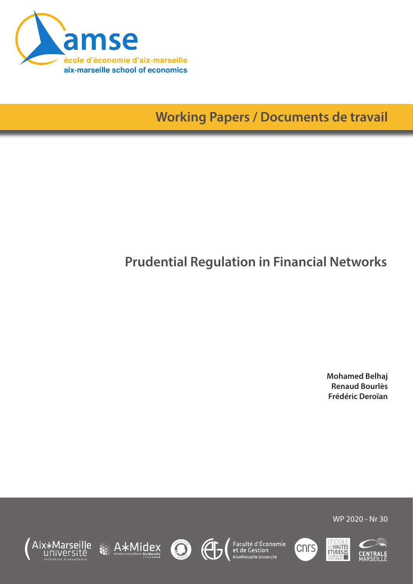

**Working Papers / Documents de travail**

# **Prudential Regulation in Financial Networks**

**Mohamed Belhaj Renaud Bourlès Frédéric Deroïan**















WP 2020 - Nr 30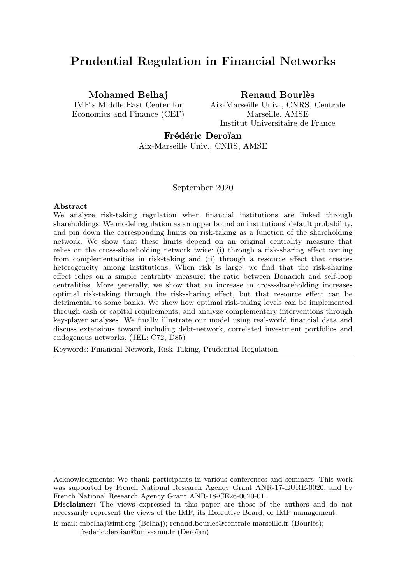# Prudential Regulation in Financial Networks

Mohamed Belhaj

IMF's Middle East Center for Economics and Finance (CEF) Renaud Bourlès

Aix-Marseille Univ., CNRS, Centrale Marseille, AMSE Institut Universitaire de France

# Frédéric Deroïan

Aix-Marseille Univ., CNRS, AMSE

#### September 2020

#### Abstract

We analyze risk-taking regulation when financial institutions are linked through shareholdings. We model regulation as an upper bound on institutions' default probability, and pin down the corresponding limits on risk-taking as a function of the shareholding network. We show that these limits depend on an original centrality measure that relies on the cross-shareholding network twice: (i) through a risk-sharing effect coming from complementarities in risk-taking and (ii) through a resource effect that creates heterogeneity among institutions. When risk is large, we find that the risk-sharing effect relies on a simple centrality measure: the ratio between Bonacich and self-loop centralities. More generally, we show that an increase in cross-shareholding increases optimal risk-taking through the risk-sharing effect, but that resource effect can be detrimental to some banks. We show how optimal risk-taking levels can be implemented through cash or capital requirements, and analyze complementary interventions through key-player analyses. We finally illustrate our model using real-world financial data and discuss extensions toward including debt-network, correlated investment portfolios and endogenous networks. (JEL: C72, D85)

Keywords: Financial Network, Risk-Taking, Prudential Regulation.

Acknowledgments: We thank participants in various conferences and seminars. This work was supported by French National Research Agency Grant ANR-17-EURE-0020, and by French National Research Agency Grant ANR-18-CE26-0020-01.

Disclaimer: The views expressed in this paper are those of the authors and do not necessarily represent the views of the IMF, its Executive Board, or IMF management.

E-mail: mbelhaj@imf.org (Belhaj); renaud.bourles@centrale-marseille.fr (Bourlès); frederic.deroian@univ-amu.fr (Deroïan)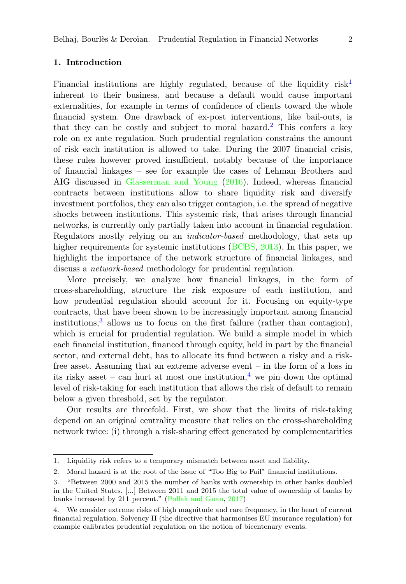# 1. Introduction

Financial institutions are highly regulated, because of the liquidity  $risk<sup>1</sup>$  $risk<sup>1</sup>$  $risk<sup>1</sup>$ inherent to their business, and because a default would cause important externalities, for example in terms of confidence of clients toward the whole financial system. One drawback of ex-post interventions, like bail-outs, is that they can be costly and subject to moral hazard.<sup>[2](#page-2-1)</sup> This confers a key role on ex ante regulation. Such prudential regulation constrains the amount of risk each institution is allowed to take. During the 2007 financial crisis, these rules however proved insufficient, notably because of the importance of financial linkages – see for example the cases of Lehman Brothers and AIG discussed in [Glasserman and Young](#page-42-0) [\(2016\)](#page-42-0). Indeed, whereas financial contracts between institutions allow to share liquidity risk and diversify investment portfolios, they can also trigger contagion, i.e. the spread of negative shocks between institutions. This systemic risk, that arises through financial networks, is currently only partially taken into account in financial regulation. Regulators mostly relying on an indicator-based methodology, that sets up higher requirements for systemic institutions [\(BCBS,](#page-42-1) [2013\)](#page-42-1). In this paper, we highlight the importance of the network structure of financial linkages, and discuss a network-based methodology for prudential regulation.

More precisely, we analyze how financial linkages, in the form of cross-shareholding, structure the risk exposure of each institution, and how prudential regulation should account for it. Focusing on equity-type contracts, that have been shown to be increasingly important among financial institutions,<sup>[3](#page-2-2)</sup> allows us to focus on the first failure (rather than contagion), which is crucial for prudential regulation. We build a simple model in which each financial institution, financed through equity, held in part by the financial sector, and external debt, has to allocate its fund between a risky and a riskfree asset. Assuming that an extreme adverse event – in the form of a loss in its risky asset – can hurt at most one institution,<sup>[4](#page-2-3)</sup> we pin down the optimal level of risk-taking for each institution that allows the risk of default to remain below a given threshold, set by the regulator.

Our results are threefold. First, we show that the limits of risk-taking depend on an original centrality measure that relies on the cross-shareholding network twice: (i) through a risk-sharing effect generated by complementarities

<span id="page-2-0"></span><sup>1.</sup> Liquidity risk refers to a temporary mismatch between asset and liability.

<span id="page-2-1"></span><sup>2.</sup> Moral hazard is at the root of the issue of "Too Big to Fail" financial institutions.

<span id="page-2-2"></span><sup>3. &</sup>quot;Between 2000 and 2015 the number of banks with ownership in other banks doubled in the United States. [...] Between 2011 and 2015 the total value of ownership of banks by banks increased by 211 percent." [\(Pollak and Guan,](#page-43-0) [2017\)](#page-43-0)

<span id="page-2-3"></span><sup>4.</sup> We consider extreme risks of high magnitude and rare frequency, in the heart of current financial regulation. Solvency II (the directive that harmonises EU insurance regulation) for example calibrates prudential regulation on the notion of bicentenary events.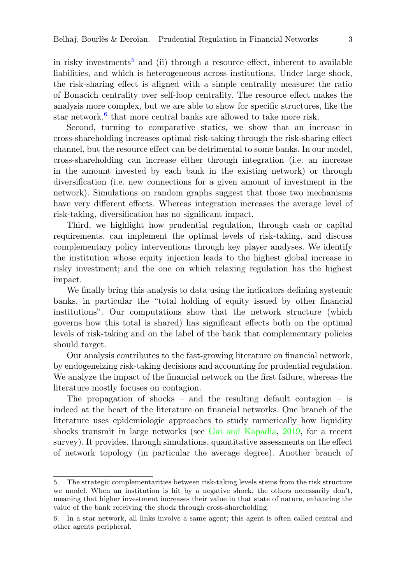in risky investments<sup>[5](#page-3-0)</sup> and (ii) through a resource effect, inherent to available liabilities, and which is heterogeneous across institutions. Under large shock, the risk-sharing effect is aligned with a simple centrality measure: the ratio of Bonacich centrality over self-loop centrality. The resource effect makes the analysis more complex, but we are able to show for specific structures, like the star network,  $6$  that more central banks are allowed to take more risk.

Second, turning to comparative statics, we show that an increase in cross-shareholding increases optimal risk-taking through the risk-sharing effect channel, but the resource effect can be detrimental to some banks. In our model, cross-shareholding can increase either through integration (i.e. an increase in the amount invested by each bank in the existing network) or through diversification (i.e. new connections for a given amount of investment in the network). Simulations on random graphs suggest that those two mechanisms have very different effects. Whereas integration increases the average level of risk-taking, diversification has no significant impact.

Third, we highlight how prudential regulation, through cash or capital requirements, can implement the optimal levels of risk-taking, and discuss complementary policy interventions through key player analyses. We identify the institution whose equity injection leads to the highest global increase in risky investment; and the one on which relaxing regulation has the highest impact.

We finally bring this analysis to data using the indicators defining systemic banks, in particular the "total holding of equity issued by other financial institutions". Our computations show that the network structure (which governs how this total is shared) has significant effects both on the optimal levels of risk-taking and on the label of the bank that complementary policies should target.

Our analysis contributes to the fast-growing literature on financial network, by endogeneizing risk-taking decisions and accounting for prudential regulation. We analyze the impact of the financial network on the first failure, whereas the literature mostly focuses on contagion.

The propagation of shocks – and the resulting default contagion – is indeed at the heart of the literature on financial networks. One branch of the literature uses epidemiologic approaches to study numerically how liquidity shocks transmit in large networks (see [Gai and Kapadia,](#page-42-2) [2019,](#page-42-2) for a recent survey). It provides, through simulations, quantitative assessments on the effect of network topology (in particular the average degree). Another branch of

<span id="page-3-0"></span><sup>5.</sup> The strategic complementarities between risk-taking levels stems from the risk structure we model. When an institution is hit by a negative shock, the others necessarily don't, meaning that higher investment increases their value in that state of nature, enhancing the value of the bank receiving the shock through cross-shareholding.

<span id="page-3-1"></span><sup>6.</sup> In a star network, all links involve a same agent; this agent is often called central and other agents peripheral.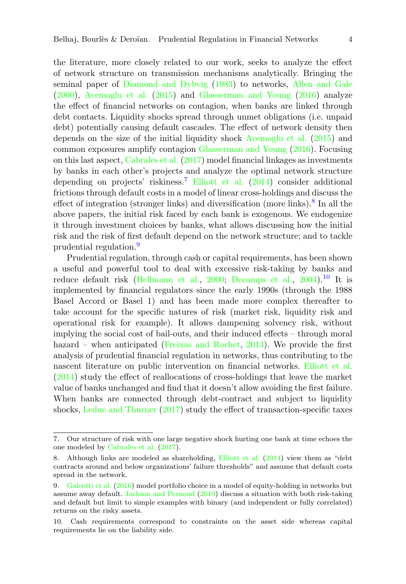the literature, more closely related to our work, seeks to analyze the effect of network structure on transmission mechanisms analytically. Bringing the seminal paper of [Diamond and Dybvig](#page-42-3) [\(1983\)](#page-42-3) to networks, [Allen and Gale](#page-42-4) [\(2000\)](#page-42-4), [Acemoglu et al.](#page-42-5) [\(2015\)](#page-42-5) and [Glasserman and Young](#page-42-0) [\(2016\)](#page-42-0) analyze the effect of financial networks on contagion, when banks are linked through debt contacts. Liquidity shocks spread through unmet obligations (i.e. unpaid debt) potentially causing default cascades. The effect of network density then depends on the size of the initial liquidity shock [Acemoglu et al.](#page-42-5) [\(2015\)](#page-42-5) and common exposures amplify contagion [Glasserman and Young](#page-42-0) [\(2016\)](#page-42-0). Focusing on this last aspect, [Cabrales et al.](#page-42-6) [\(2017\)](#page-42-6) model financial linkages as investments by banks in each other's projects and analyze the optimal network structure depending on projects' riskiness.[7](#page-4-0) [Elliott et al.](#page-42-7) [\(2014\)](#page-42-7) consider additional frictions through default costs in a model of linear cross-holdings and discuss the effect of integration (stronger links) and diversification (more links).<sup>[8](#page-4-1)</sup> In all the above papers, the initial risk faced by each bank is exogenous. We endogenize it through investment choices by banks, what allows discussing how the initial risk and the risk of first default depend on the network structure; and to tackle prudential regulation.<sup>[9](#page-4-2)</sup>

Prudential regulation, through cash or capital requirements, has been shown a useful and powerful tool to deal with excessive risk-taking by banks and reduce default risk [\(Hellmann et al.,](#page-42-8) [2000;](#page-42-8) [Decamps et al.,](#page-42-9) [2004\)](#page-42-9).<sup>[10](#page-4-3)</sup> It is implemented by financial regulators since the early 1990s (through the 1988 Basel Accord or Basel 1) and has been made more complex thereafter to take account for the specific natures of risk (market risk, liquidity risk and operational risk for example). It allows dampening solvency risk, without implying the social cost of bail-outs, and their induced effects – through moral hazard – when anticipated [\(Freixas and Rochet,](#page-42-10) [2013\)](#page-42-10). We provide the first analysis of prudential financial regulation in networks, thus contributing to the nascent literature on public intervention on financial networks. [Elliott et al.](#page-42-7) [\(2014\)](#page-42-7) study the effect of reallocations of cross-holdings that leave the market value of banks unchanged and find that it doesn't allow avoiding the first failure. When banks are connected through debt-contract and subject to liquidity shocks, [Leduc and Thurner](#page-43-1) [\(2017\)](#page-43-1) study the effect of transaction-specific taxes

<span id="page-4-0"></span><sup>7.</sup> Our structure of risk with one large negative shock hurting one bank at time echoes the one modeled by [Cabrales et al.](#page-42-6) [\(2017\)](#page-42-6).

<span id="page-4-1"></span><sup>8.</sup> Although links are modeled as shareholding, [Elliott et al.](#page-42-7) [\(2014\)](#page-42-7) view them as "debt contracts around and below organizations' failure thresholds" and assume that default costs spread in the network.

<span id="page-4-2"></span><sup>9.</sup> [Galeotti et al.](#page-42-11) [\(2016\)](#page-42-11) model portfolio choice in a model of equity-holding in networks but assume away default. [Jackson and Pernoud](#page-42-12) [\(2019\)](#page-42-12) discuss a situation with both risk-taking and default but limit to simple examples with binary (and independent or fully correlated) returns on the risky assets.

<span id="page-4-3"></span><sup>10.</sup> Cash requirements correspond to constraints on the asset side whereas capital requirements lie on the liability side.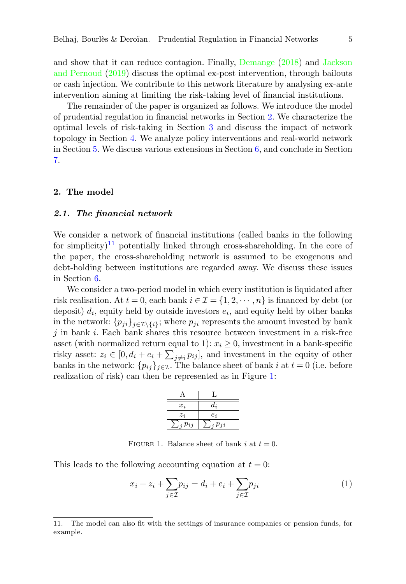and show that it can reduce contagion. Finally, [Demange](#page-42-13) [\(2018\)](#page-42-13) and [Jackson](#page-42-12) [and Pernoud](#page-42-12) [\(2019\)](#page-42-12) discuss the optimal ex-post intervention, through bailouts or cash injection. We contribute to this network literature by analysing ex-ante intervention aiming at limiting the risk-taking level of financial institutions.

The remainder of the paper is organized as follows. We introduce the model of prudential regulation in financial networks in Section [2.](#page-5-0) We characterize the optimal levels of risk-taking in Section [3](#page-10-0) and discuss the impact of network topology in Section [4.](#page-14-0) We analyze policy interventions and real-world network in Section [5.](#page-21-0) We discuss various extensions in Section [6,](#page-25-0) and conclude in Section [7.](#page-26-0)

#### <span id="page-5-0"></span>2. The model

#### 2.1. The financial network

We consider a network of financial institutions (called banks in the following for simplicity)<sup>[11](#page-5-1)</sup> potentially linked through cross-shareholding. In the core of the paper, the cross-shareholding network is assumed to be exogenous and debt-holding between institutions are regarded away. We discuss these issues in Section [6.](#page-25-0)

We consider a two-period model in which every institution is liquidated after risk realisation. At  $t = 0$ , each bank  $i \in \mathcal{I} = \{1, 2, \cdots, n\}$  is financed by debt (or deposit)  $d_i$ , equity held by outside investors  $e_i$ , and equity held by other banks in the network:  $\{p_{ji}\}_{j\in\mathcal{I}\backslash\{i\}}$ ; where  $p_{ji}$  represents the amount invested by bank  $j$  in bank  $i$ . Each bank shares this resource between investment in a risk-free asset (with normalized return equal to 1):  $x_i \geq 0$ , investment in a bank-specific risky asset:  $z_i \in [0, d_i + e_i + \sum_{j \neq i} p_{ij}]$ , and investment in the equity of other banks in the network:  $\{p_{ij}\}_{j\in\mathcal{I}}$ . The balance sheet of bank i at  $t=0$  (i.e. before realization of risk) can then be represented as in Figure [1:](#page-5-2)

$$
\begin{array}{c|c}\n & A & L \\
\hline\n\hline\nx_i & d_i \\
\hline\nz_i & e_i \\
\hline\n\sum_j p_{ij} & \sum_j p_{ji}\n\end{array}
$$

FIGURE 1. Balance sheet of bank i at  $t = 0$ .

<span id="page-5-2"></span>This leads to the following accounting equation at  $t = 0$ :

<span id="page-5-3"></span>
$$
x_i + z_i + \sum_{j \in \mathcal{I}} p_{ij} = d_i + e_i + \sum_{j \in \mathcal{I}} p_{ji}
$$
\n<sup>(1)</sup>

<span id="page-5-1"></span><sup>11.</sup> The model can also fit with the settings of insurance companies or pension funds, for example.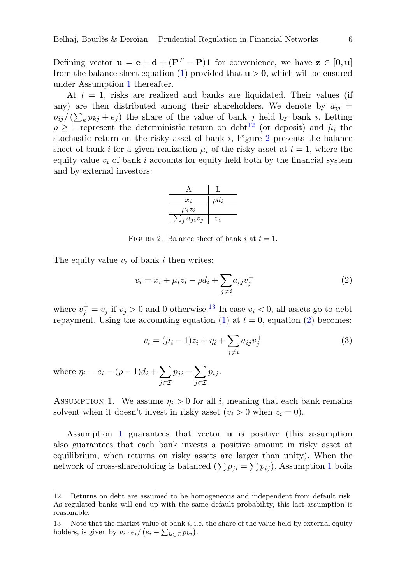Defining vector  $\mathbf{u} = \mathbf{e} + \mathbf{d} + (\mathbf{P}^{T} - \mathbf{P})\mathbf{1}$  for convenience, we have  $\mathbf{z} \in [0, \mathbf{u}]$ from the balance sheet equation [\(1\)](#page-5-3) provided that  $u > 0$ , which will be ensured under Assumption [1](#page-6-0) thereafter.

At  $t = 1$ , risks are realized and banks are liquidated. Their values (if any) are then distributed among their shareholders. We denote by  $a_{ij} =$  $p_{ij}/(\sum_k p_{kj} + e_j)$  the share of the value of bank j held by bank i. Letting  $\rho \geq 1$  represent the deterministic return on debt<sup>[12](#page-6-1)</sup> (or deposit) and  $\tilde{\mu}_i$  the stochastic return on the risky asset of bank  $i$ , Figure [2](#page-6-2) presents the balance sheet of bank i for a given realization  $\mu_i$  of the risky asset at  $t = 1$ , where the equity value  $v_i$  of bank i accounts for equity held both by the financial system and by external investors:

| A                   |            |
|---------------------|------------|
| $x_i$               | $\rho d_i$ |
| $\mu_i z_i$         |            |
| $\Box_i a_{ji} v_j$ | $v_i$      |

FIGURE 2. Balance sheet of bank i at  $t = 1$ .

<span id="page-6-2"></span>The equity value  $v_i$  of bank i then writes:

<span id="page-6-4"></span>
$$
v_i = x_i + \mu_i z_i - \rho d_i + \sum_{j \neq i} a_{ij} v_j^+ \tag{2}
$$

where  $v_j^+ = v_j$  if  $v_j > 0$  and 0 otherwise.<sup>[13](#page-6-3)</sup> In case  $v_i < 0$ , all assets go to debt repayment. Using the accounting equation [\(1\)](#page-5-3) at  $t = 0$ , equation [\(2\)](#page-6-4) becomes:

<span id="page-6-5"></span>
$$
v_i = (\mu_i - 1)z_i + \eta_i + \sum_{j \neq i} a_{ij}v_j^+ \tag{3}
$$

where  $\eta_i = e_i - (\rho - 1)d_i + \sum$ j∈I  $p_{ji}-\sum$ j∈I  $p_{ij}$ .

<span id="page-6-0"></span>ASSUMPTION 1. We assume  $\eta_i > 0$  for all i, meaning that each bank remains solvent when it doesn't invest in risky asset  $(v_i > 0$  when  $z_i = 0$ ).

Assumption [1](#page-6-0) guarantees that vector u is positive (this assumption also guarantees that each bank invests a positive amount in risky asset at equilibrium, when returns on risky assets are larger than unity). When the network of cross-shareholding is balanced  $(\sum p_{ji} = \sum p_{ij})$ , Assumption [1](#page-6-0) boils

<span id="page-6-1"></span><sup>12.</sup> Returns on debt are assumed to be homogeneous and independent from default risk. As regulated banks will end up with the same default probability, this last assumption is reasonable.

<span id="page-6-3"></span><sup>13.</sup> Note that the market value of bank i, i.e. the share of the value held by external equity holders, is given by  $v_i \cdot e_i / (e_i + \sum_{k \in \mathcal{I}} p_{ki}).$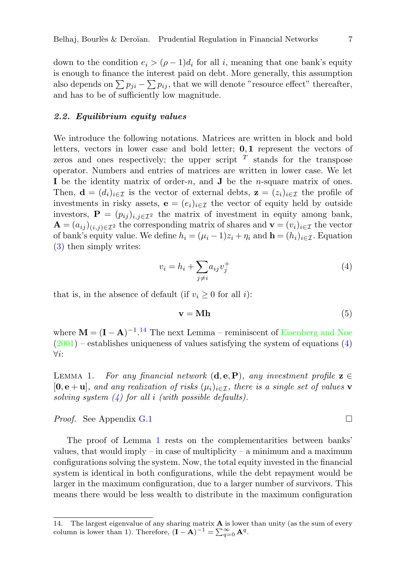down to the condition  $e_i > (\rho - 1)d_i$  for all i, meaning that one bank's equity is enough to finance the interest paid on debt. More generally, this assumption also depends on  $\sum p_{ji} - \sum p_{ij}$ , that we will denote "resource effect" thereafter, and has to be of sufficiently low magnitude.

#### 2.2. Equilibrium equity values

We introduce the following notations. Matrices are written in block and bold letters, vectors in lower case and bold letter;  $0,1$  represent the vectors of zeros and ones respectively; the upper script  $T$  stands for the transpose operator. Numbers and entries of matrices are written in lower case. We let I be the identity matrix of order-n, and  $J$  be the n-square matrix of ones. Then,  $\mathbf{d} = (d_i)_{i \in \mathcal{I}}$  is the vector of external debts,  $\mathbf{z} = (z_i)_{i \in \mathcal{I}}$  the profile of investments in risky assets,  $\mathbf{e} = (e_i)_{i \in \mathcal{I}}$  the vector of equity held by outside investors,  $\mathbf{P} = (p_{ij})_{i,j \in \mathcal{I}^2}$  the matrix of investment in equity among bank,  $\mathbf{A} = (a_{ij})_{(i,j)\in\mathcal{I}^2}$  the corresponding matrix of shares and  $\mathbf{v} = (v_i)_{i\in\mathcal{I}}$  the vector of bank's equity value. We define  $h_i = (\mu_i - 1)z_i + \eta_i$  and  $\mathbf{h} = (h_i)_{i \in \mathcal{I}}$ . Equation [\(3\)](#page-6-5) then simply writes:

<span id="page-7-1"></span>
$$
v_i = h_i + \sum_{j \neq i} a_{ij} v_j^+ \tag{4}
$$

that is, in the absence of default (if  $v_i \geq 0$  for all i):

$$
\mathbf{v} = \mathbf{M}\mathbf{h} \tag{5}
$$

where  $\mathbf{M} = (\mathbf{I} - \mathbf{A})^{-1}$ .<sup>[14](#page-7-0)</sup> The next Lemma – reminiscent of [Eisenberg and Noe](#page-42-14)  $(2001)$  – establishes uniqueness of values satisfying the system of equations  $(4)$ ∀i:

<span id="page-7-2"></span>LEMMA 1. For any financial network  $(d, e, P)$ , any investment profile  $z \in$  $[0, e + u]$ , and any realization of risks  $(\mu_i)_{i \in \mathcal{I}}$ , there is a single set of values **v** solving system  $(4)$  for all i (with possible defaults).

*Proof.* See Appendix [G.1](#page-36-0)

The proof of Lemma [1](#page-7-2) rests on the complementarities between banks' values, that would imply – in case of multiplicity – a minimum and a maximum configurations solving the system. Now, the total equity invested in the financial system is identical in both configurations, while the debt repayment would be larger in the maximum configuration, due to a larger number of survivors. This means there would be less wealth to distribute in the maximum configuration

<span id="page-7-0"></span><sup>14.</sup> The largest eigenvalue of any sharing matrix  $A$  is lower than unity (as the sum of every column is lower than 1). Therefore,  $(\mathbf{I} - \mathbf{A})^{-1} = \sum_{q=0}^{\infty} \mathbf{A}^q$ .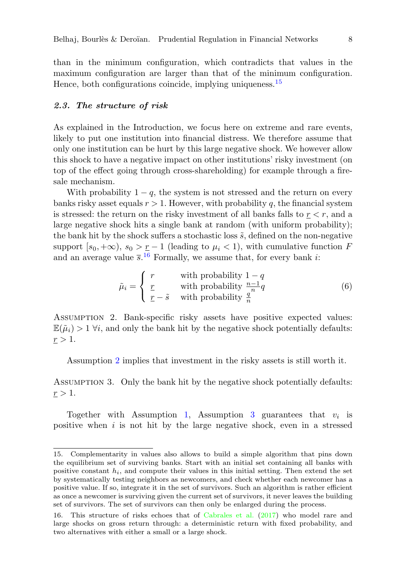than in the minimum configuration, which contradicts that values in the maximum configuration are larger than that of the minimum configuration. Hence, both configurations coincide, implying uniqueness.<sup>[15](#page-8-0)</sup>

#### 2.3. The structure of risk

As explained in the Introduction, we focus here on extreme and rare events, likely to put one institution into financial distress. We therefore assume that only one institution can be hurt by this large negative shock. We however allow this shock to have a negative impact on other institutions' risky investment (on top of the effect going through cross-shareholding) for example through a firesale mechanism.

With probability  $1 - q$ , the system is not stressed and the return on every banks risky asset equals  $r > 1$ . However, with probability q, the financial system is stressed: the return on the risky investment of all banks falls to  $r < r$ , and a large negative shock hits a single bank at random (with uniform probability); the bank hit by the shock suffers a stochastic loss  $\tilde{s}$ , defined on the non-negative support  $[s_0,+\infty)$ ,  $s_0 > r-1$  (leading to  $\mu_i < 1$ ), with cumulative function F and an average value  $\bar{s}$ .<sup>[16](#page-8-1)</sup> Formally, we assume that, for every bank *i*:

$$
\tilde{\mu}_i = \begin{cases}\nr & \text{with probability } 1 - q \\
\frac{r}{r} & \text{with probability } \frac{n-1}{q}q \\
\frac{r}{r} - \tilde{s} & \text{with probability } \frac{q}{n}\n\end{cases}
$$
\n(6)

<span id="page-8-2"></span>Assumption 2. Bank-specific risky assets have positive expected values:  $\mathbb{E}(\tilde{\mu}_i) > 1 \ \forall i$ , and only the bank hit by the negative shock potentially defaults:  $\underline{r} > 1.$ 

Assumption [2](#page-8-2) implies that investment in the risky assets is still worth it.

<span id="page-8-3"></span>Assumption 3. Only the bank hit by the negative shock potentially defaults:  $\underline{r} > 1.$ 

Together with Assumption [1,](#page-6-0) Assumption [3](#page-8-3) guarantees that  $v_i$  is positive when  $i$  is not hit by the large negative shock, even in a stressed

<span id="page-8-0"></span><sup>15.</sup> Complementarity in values also allows to build a simple algorithm that pins down the equilibrium set of surviving banks. Start with an initial set containing all banks with positive constant  $h_i$ , and compute their values in this initial setting. Then extend the set by systematically testing neighbors as newcomers, and check whether each newcomer has a positive value. If so, integrate it in the set of survivors. Such an algorithm is rather efficient as once a newcomer is surviving given the current set of survivors, it never leaves the building set of survivors. The set of survivors can then only be enlarged during the process.

<span id="page-8-1"></span><sup>16.</sup> This structure of risks echoes that of [Cabrales et al.](#page-42-6) [\(2017\)](#page-42-6) who model rare and large shocks on gross return through: a deterministic return with fixed probability, and two alternatives with either a small or a large shock.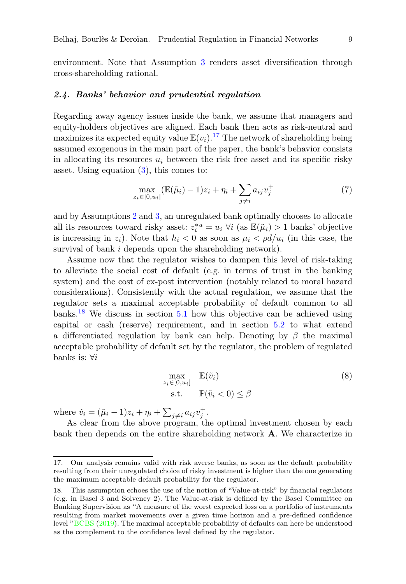environment. Note that Assumption [3](#page-8-3) renders asset diversification through cross-shareholding rational.

# 2.4. Banks' behavior and prudential regulation

Regarding away agency issues inside the bank, we assume that managers and equity-holders objectives are aligned. Each bank then acts as risk-neutral and maximizes its expected equity value  $\mathbb{E}(v_i)$ .<sup>[17](#page-9-0)</sup> The network of shareholding being assumed exogenous in the main part of the paper, the bank's behavior consists in allocating its resources  $u_i$  between the risk free asset and its specific risky asset. Using equation  $(3)$ , this comes to:

$$
\max_{z_i \in [0, u_i]} (\mathbb{E}(\tilde{\mu}_i) - 1)z_i + \eta_i + \sum_{j \neq i} a_{ij} v_j^+ \tag{7}
$$

and by Assumptions [2](#page-8-2) and [3,](#page-8-3) an unregulated bank optimally chooses to allocate all its resources toward risky asset:  $z_i^{*u} = u_i \; \forall i$  (as  $\mathbb{E}(\tilde{\mu}_i) > 1$  banks' objective is increasing in  $z_i$ ). Note that  $h_i < 0$  as soon as  $\mu_i < \rho d/u_i$  (in this case, the survival of bank *i* depends upon the shareholding network).

Assume now that the regulator wishes to dampen this level of risk-taking to alleviate the social cost of default (e.g. in terms of trust in the banking system) and the cost of ex-post intervention (notably related to moral hazard considerations). Consistently with the actual regulation, we assume that the regulator sets a maximal acceptable probability of default common to all banks.<sup>[18](#page-9-1)</sup> We discuss in section  $5.1$  how this objective can be achieved using capital or cash (reserve) requirement, and in section [5.2](#page-22-0) to what extend a differentiated regulation by bank can help. Denoting by  $\beta$  the maximal acceptable probability of default set by the regulator, the problem of regulated banks is:  $\forall i$ 

<span id="page-9-2"></span>
$$
\max_{z_i \in [0, u_i]} \mathbb{E}(\tilde{v}_i)
$$
\n
$$
\text{s.t.} \quad \mathbb{P}(\tilde{v}_i < 0) \le \beta
$$
\n
$$
(8)
$$

where  $\tilde{v}_i = (\tilde{\mu}_i - 1)z_i + \eta_i + \sum_{j \neq i} a_{ij}v_j^+$ .

As clear from the above program, the optimal investment chosen by each bank then depends on the entire shareholding network A. We characterize in

<span id="page-9-0"></span><sup>17.</sup> Our analysis remains valid with risk averse banks, as soon as the default probability resulting from their unregulated choice of risky investment is higher than the one generating the maximum acceptable default probability for the regulator.

<span id="page-9-1"></span><sup>18.</sup> This assumption echoes the use of the notion of "Value-at-risk" by financial regulators (e.g. in Basel 3 and Solvency 2). The Value-at-risk is defined by the Basel Committee on Banking Supervision as "A measure of the worst expected loss on a portfolio of instruments resulting from market movements over a given time horizon and a pre-defined confidence level ["BCBS](#page-42-15) [\(2019\)](#page-42-15). The maximal acceptable probability of defaults can here be understood as the complement to the confidence level defined by the regulator.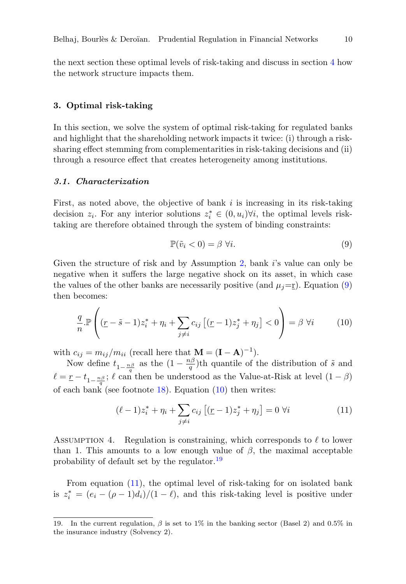the next section these optimal levels of risk-taking and discuss in section [4](#page-14-0) how the network structure impacts them.

# <span id="page-10-0"></span>3. Optimal risk-taking

In this section, we solve the system of optimal risk-taking for regulated banks and highlight that the shareholding network impacts it twice: (i) through a risksharing effect stemming from complementarities in risk-taking decisions and (ii) through a resource effect that creates heterogeneity among institutions.

#### 3.1. Characterization

First, as noted above, the objective of bank  $i$  is increasing in its risk-taking decision  $z_i$ . For any interior solutions  $z_i^* \in (0, u_i)$  $\forall i$ , the optimal levels risktaking are therefore obtained through the system of binding constraints:

<span id="page-10-1"></span>
$$
\mathbb{P}(\tilde{v}_i < 0) = \beta \,\forall i. \tag{9}
$$

Given the structure of risk and by Assumption [2,](#page-8-2) bank is value can only be negative when it suffers the large negative shock on its asset, in which case the values of the other banks are necessarily positive (and  $\mu_j = r$ ). Equation [\(9\)](#page-10-1) then becomes:

<span id="page-10-2"></span>
$$
\frac{q}{n} \mathbb{P}\left((\underline{r} - \tilde{s} - 1)z_i^* + \eta_i + \sum_{j \neq i} c_{ij} \left[ (\underline{r} - 1)z_j^* + \eta_j \right] < 0\right) = \beta \ \forall i \tag{10}
$$

with  $c_{ij} = m_{ij}/m_{ii}$  (recall here that  $\mathbf{M} = (\mathbf{I} - \mathbf{A})^{-1}$ ).

Now define  $t_{1-\frac{n\beta}{q}}$  as the  $(1-\frac{n\beta}{q})$  $\frac{dp}{q}$ )th quantile of the distribution of  $\tilde{s}$  and  $\ell = \underline{r} - t_{1-\frac{n\beta}{q}}$ ;  $\ell$  can then be understood as the Value-at-Risk at level  $(1 - \beta)$ of each bank (see footnote  $18$ ). Equation  $(10)$  then writes:

<span id="page-10-4"></span>
$$
(\ell - 1)z_i^* + \eta_i + \sum_{j \neq i} c_{ij} \left[ (\underline{r} - 1)z_j^* + \eta_j \right] = 0 \ \forall i \tag{11}
$$

<span id="page-10-5"></span>ASSUMPTION 4. Regulation is constraining, which corresponds to  $\ell$  to lower than 1. This amounts to a low enough value of  $\beta$ , the maximal acceptable probability of default set by the regulator.[19](#page-10-3)

From equation [\(11\)](#page-10-4), the optimal level of risk-taking for on isolated bank is  $z_i^* = (e_i - (\rho - 1)d_i)/(1 - \ell)$ , and this risk-taking level is positive under

<span id="page-10-3"></span><sup>19.</sup> In the current regulation,  $\beta$  is set to 1% in the banking sector (Basel 2) and 0.5% in the insurance industry (Solvency 2).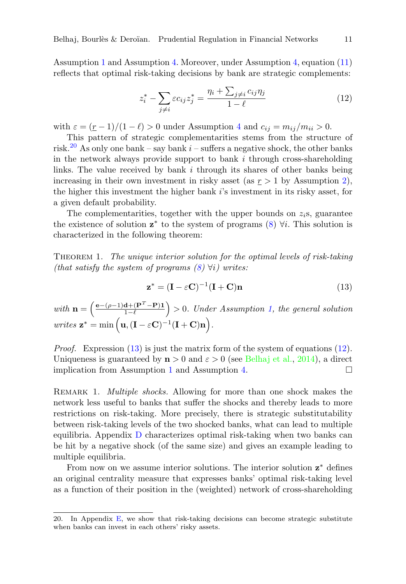Assumption [1](#page-6-0) and Assumption [4.](#page-10-5) Moreover, under Assumption [4,](#page-10-5) equation [\(11\)](#page-10-4) reflects that optimal risk-taking decisions by bank are strategic complements:

<span id="page-11-2"></span>
$$
z_i^* - \sum_{j \neq i} \varepsilon c_{ij} z_j^* = \frac{\eta_i + \sum_{j \neq i} c_{ij} \eta_j}{1 - \ell} \tag{12}
$$

with  $\varepsilon = (\underline{r} - 1)/(1 - \ell) > 0$  under Assumption [4](#page-10-5) and  $c_{ij} = m_{ij}/m_{ii} > 0$ .

This pattern of strategic complementarities stems from the structure of risk.<sup>[20](#page-11-0)</sup> As only one bank – say bank  $i$  – suffers a negative shock, the other banks in the network always provide support to bank  $i$  through cross-shareholding links. The value received by bank  $i$  through its shares of other banks being increasing in their own investment in risky asset (as  $r > 1$  by Assumption [2\)](#page-8-2), the higher this investment the higher bank  $i$ 's investment in its risky asset, for a given default probability.

The complementarities, together with the upper bounds on  $z_i$ s, guarantee the existence of solution  $z^*$  to the system of programs  $(8)$   $\forall i$ . This solution is characterized in the following theorem:

Theorem 1. The unique interior solution for the optimal levels of risk-taking (that satisfy the system of programs  $(8) \forall i$  $(8) \forall i$ ) writes:

<span id="page-11-1"></span>
$$
\mathbf{z}^* = (\mathbf{I} - \varepsilon \mathbf{C})^{-1} (\mathbf{I} + \mathbf{C}) \mathbf{n}
$$
 (13)

with  $\mathbf{n} = \begin{pmatrix} \frac{\mathbf{e} - (\rho - 1)\mathbf{d} + (\mathbf{P}^T - \mathbf{P})\mathbf{1}}{1 - \ell} \end{pmatrix}$  $\frac{d^2 + (\mathbf{P}^T - \mathbf{P})\mathbf{1}}{1 - \ell}$  > 0. Under Assumption [1,](#page-6-0) the general solution writes  $\mathbf{z}^* = \min\left(\mathbf{u}, (\mathbf{I} - \varepsilon \mathbf{C})^{-1} (\mathbf{I} + \mathbf{C}) \mathbf{n}\right).$ 

*Proof.* Expression  $(13)$  is just the matrix form of the system of equations  $(12)$ . Uniqueness is guaranteed by  $\mathbf{n} > 0$  and  $\varepsilon > 0$  (see [Belhaj et al.,](#page-42-16) [2014\)](#page-42-16), a direct implication from Assumption [1](#page-6-0) and Assumption [4.](#page-10-5)

REMARK 1. *Multiple shocks*. Allowing for more than one shock makes the network less useful to banks that suffer the shocks and thereby leads to more restrictions on risk-taking. More precisely, there is strategic substitutability between risk-taking levels of the two shocked banks, what can lead to multiple equilibria. Appendix [D](#page-30-0) characterizes optimal risk-taking when two banks can be hit by a negative shock (of the same size) and gives an example leading to multiple equilibria.

From now on we assume interior solutions. The interior solution  $z^*$  defines an original centrality measure that expresses banks' optimal risk-taking level as a function of their position in the (weighted) network of cross-shareholding

<span id="page-11-0"></span><sup>20.</sup> In Appendix [E,](#page-31-0) we show that risk-taking decisions can become strategic substitute when banks can invest in each others' risky assets.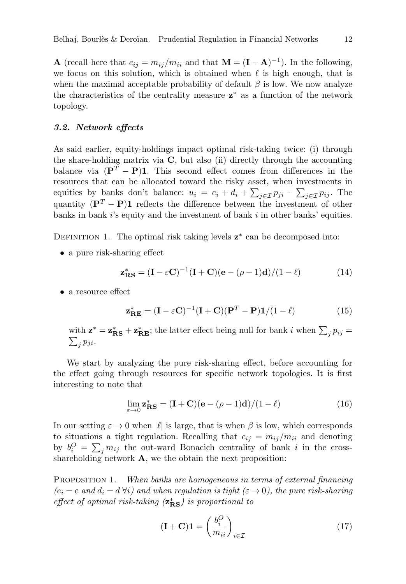**A** (recall here that  $c_{ij} = m_{ij}/m_{ii}$  and that  $\mathbf{M} = (\mathbf{I} - \mathbf{A})^{-1}$ ). In the following, we focus on this solution, which is obtained when  $\ell$  is high enough, that is when the maximal acceptable probability of default  $\beta$  is low. We now analyze the characteristics of the centrality measure **z**<sup>∗</sup> as a function of the network topology.

#### 3.2. Network effects

As said earlier, equity-holdings impact optimal risk-taking twice: (i) through the share-holding matrix via  $C$ , but also (ii) directly through the accounting balance via  $({\bf P}^T - {\bf P}){\bf 1}$ . This second effect comes from differences in the resources that can be allocated toward the risky asset, when investments in equities by banks don't balance:  $u_i = e_i + d_i + \sum_{j \in \mathcal{I}} p_{ji} - \sum_{j \in \mathcal{I}} p_{ij}$ . The quantity  $({\bf P}^T - {\bf P}){\bf 1}$  reflects the difference between the investment of other banks in bank  $i$ 's equity and the investment of bank  $i$  in other banks' equities.

DEFINITION 1. The optimal risk taking levels  $z^*$  can be decomposed into:

• a pure risk-sharing effect

<span id="page-12-1"></span>
$$
\mathbf{z}_{\mathbf{RS}}^* = (\mathbf{I} - \varepsilon \mathbf{C})^{-1} (\mathbf{I} + \mathbf{C})(\mathbf{e} - (\rho - 1)\mathbf{d})/(1 - \ell)
$$
 (14)

• a resource effect

$$
\mathbf{z}_{\mathbf{RE}}^* = (\mathbf{I} - \varepsilon \mathbf{C})^{-1} (\mathbf{I} + \mathbf{C}) (\mathbf{P}^T - \mathbf{P}) \mathbf{1} / (1 - \ell)
$$
 (15)

with  $\mathbf{z}^* = \mathbf{z}_{\mathbf{RS}}^* + \mathbf{z}_{\mathbf{RE}}^*$ ; the latter effect being null for bank i when  $\sum_j p_{ij} =$  $\sum_j p_{ji}$ .

We start by analyzing the pure risk-sharing effect, before accounting for the effect going through resources for specific network topologies. It is first interesting to note that

$$
\lim_{\varepsilon \to 0} \mathbf{z}_{\mathbf{RS}}^* = (\mathbf{I} + \mathbf{C})(\mathbf{e} - (\rho - 1)\mathbf{d})/(1 - \ell)
$$
\n(16)

In our setting  $\varepsilon \to 0$  when  $|\ell|$  is large, that is when  $\beta$  is low, which corresponds to situations a tight regulation. Recalling that  $c_{ij} = m_{ij}/m_{ii}$  and denoting by  $b_i^O = \sum_j m_{ij}$  the out-ward Bonacich centrality of bank i in the crossshareholding network  $\bf{A}$ , we the obtain the next proposition:

<span id="page-12-0"></span>PROPOSITION 1. When banks are homogeneous in terms of external financing  $(e_i = e \text{ and } d_i = d \forall i)$  and when regulation is tight  $(\varepsilon \to 0)$ , the pure risk-sharing effect of optimal risk-taking  $(z_{\rm RS}^*)$  is proportional to

$$
(\mathbf{I} + \mathbf{C})\mathbf{1} = \left(\frac{b_i^O}{m_{ii}}\right)_{i \in \mathcal{I}}
$$
\n(17)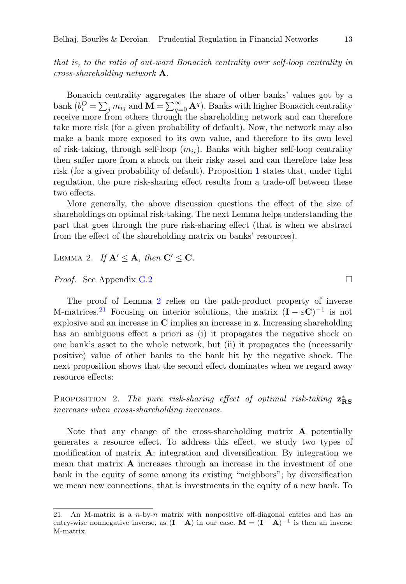that is, to the ratio of out-ward Bonacich centrality over self-loop centrality in cross-shareholding network A.

Bonacich centrality aggregates the share of other banks' values got by a bank  $(b_i^O = \sum_j m_{ij}$  and  $\mathbf{M} = \sum_{q=0}^{\infty} \mathbf{A}^q$ ). Banks with higher Bonacich centrality receive more from others through the shareholding network and can therefore take more risk (for a given probability of default). Now, the network may also make a bank more exposed to its own value, and therefore to its own level of risk-taking, through self-loop  $(m_{ii})$ . Banks with higher self-loop centrality then suffer more from a shock on their risky asset and can therefore take less risk (for a given probability of default). Proposition [1](#page-12-0) states that, under tight regulation, the pure risk-sharing effect results from a trade-off between these two effects.

More generally, the above discussion questions the effect of the size of shareholdings on optimal risk-taking. The next Lemma helps understanding the part that goes through the pure risk-sharing effect (that is when we abstract from the effect of the shareholding matrix on banks' resources).

<span id="page-13-0"></span>LEMMA 2. If  $\mathbf{A}' \leq \mathbf{A}$ , then  $\mathbf{C}' \leq \mathbf{C}$ .

*Proof.* See Appendix [G.2](#page-37-0) □

The proof of Lemma [2](#page-13-0) relies on the path-product property of inverse M-matrices.<sup>[21](#page-13-1)</sup> Focusing on interior solutions, the matrix  $(I - \varepsilon C)^{-1}$  is not explosive and an increase in C implies an increase in z. Increasing shareholding has an ambiguous effect a priori as (i) it propagates the negative shock on one bank's asset to the whole network, but (ii) it propagates the (necessarily positive) value of other banks to the bank hit by the negative shock. The next proposition shows that the second effect dominates when we regard away resource effects:

<span id="page-13-2"></span>PROPOSITION 2. The pure risk-sharing effect of optimal risk-taking  $z_{\rm RS}^*$ increases when cross-shareholding increases.

Note that any change of the cross-shareholding matrix A potentially generates a resource effect. To address this effect, we study two types of modification of matrix  $\mathbf{A}$ : integration and diversification. By integration we mean that matrix  $\bf{A}$  increases through an increase in the investment of one bank in the equity of some among its existing "neighbors"; by diversification we mean new connections, that is investments in the equity of a new bank. To

<span id="page-13-1"></span><sup>21.</sup> An M-matrix is a  $n$ -by- $n$  matrix with nonpositive off-diagonal entries and has an entry-wise nonnegative inverse, as  $(I - A)$  in our case.  $M = (I - A)^{-1}$  is then an inverse M-matrix.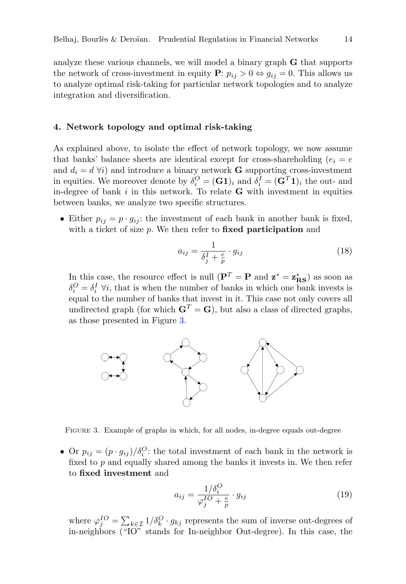analyze these various channels, we will model a binary graph G that supports the network of cross-investment in equity  $P: p_{ij} > 0 \Leftrightarrow q_{ij} = 0$ . This allows us to analyze optimal risk-taking for particular network topologies and to analyze integration and diversification.

# <span id="page-14-0"></span>4. Network topology and optimal risk-taking

As explained above, to isolate the effect of network topology, we now assume that banks' balance sheets are identical except for cross-shareholding  $(e_i = e)$ and  $d_i = d \forall i$ ) and introduce a binary network **G** supporting cross-investment in equities. We moreover denote by  $\delta_i^O = (\mathbf{G} \mathbf{1})_i$  and  $\delta_i^I = (\mathbf{G}^T \mathbf{1})_i$  the out- and in-degree of bank  $i$  in this network. To relate  $\bf{G}$  with investment in equities between banks, we analyze two specific structures.

• Either  $p_{ij} = p \cdot g_{ij}$ : the investment of each bank in another bank is fixed, with a ticket of size  $p$ . We then refer to **fixed participation** and

<span id="page-14-2"></span>
$$
a_{ij} = \frac{1}{\delta_j^I + \frac{e}{p}} \cdot g_{ij} \tag{18}
$$

In this case, the resource effect is null  $({\bf P}^T={\bf P}$  and  ${\bf z}^*={\bf z}_{\rm RS}^*$ ) as soon as  $\delta_i^O = \delta_i^I \,\forall i$ , that is when the number of banks in which one bank invests is equal to the number of banks that invest in it. This case not only covers all undirected graph (for which  $G<sup>T</sup> = G$ ), but also a class of directed graphs, as those presented in Figure [3.](#page-14-1)

<span id="page-14-1"></span>

Figure 3. Example of graphs in which, for all nodes, in-degree equals out-degree

• Or  $p_{ij} = (p \cdot g_{ij})/\delta_i^Q$ : the total investment of each bank in the network is fixed to  $p$  and equally shared among the banks it invests in. We then refer to fixed investment and

<span id="page-14-3"></span>
$$
a_{ij} = \frac{1/\delta_i^O}{\varphi_j^{IO} + \frac{e}{p}} \cdot g_{ij}
$$
 (19)

where  $\varphi_j^{IO} = \sum_{k \in \mathcal{I}} 1/\delta_k^O \cdot g_{kj}$  represents the sum of inverse out-degrees of in-neighbors ("IO" stands for In-neighbor Out-degree). In this case, the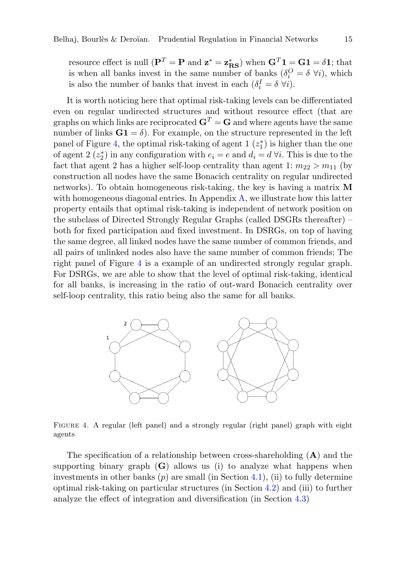resource effect is null  $({\bf P}^T={\bf P}$  and  ${\bf z}^*={\bf z}_{\rm RS}^*$ ) when  ${\bf G}^T{\bf 1}={\bf G}{\bf 1}=\delta{\bf 1}$ ; that is when all banks invest in the same number of banks  $(\delta_i^O = \delta \; \forall i)$ , which is also the number of banks that invest in each  $(\delta_i^I = \delta \ \forall i)$ .

It is worth noticing here that optimal risk-taking levels can be differentiated even on regular undirected structures and without resource effect (that are graphs on which links are reciprocated  $G<sup>T</sup> = G$  and where agents have the same number of links  $G_1 = \delta$ . For example, on the structure represented in the left panel of Figure [4,](#page-15-0) the optimal risk-taking of agent  $1(z_1^*)$  is higher than the one of agent 2  $(z_2^*)$  in any configuration with  $e_i = e$  and  $d_i = d \forall i$ . This is due to the fact that agent 2 has a higher self-loop centrality than agent 1:  $m_{22} > m_{11}$  (by construction all nodes have the same Bonacich centrality on regular undirected networks). To obtain homogeneous risk-taking, the key is having a matrix M with homogeneous diagonal entries. In Appendix [A,](#page-27-0) we illustrate how this latter property entails that optimal risk-taking is independent of network position on the subclass of Directed Strongly Regular Graphs (called DSGRs thereafter) – both for fixed participation and fixed investment. In DSRGs, on top of having the same degree, all linked nodes have the same number of common friends, and all pairs of unlinked nodes also have the same number of common friends; The right panel of Figure [4](#page-15-0) is a example of an undirected strongly regular graph. For DSRGs, we are able to show that the level of optimal risk-taking, identical for all banks, is increasing in the ratio of out-ward Bonacich centrality over self-loop centrality, this ratio being also the same for all banks.

<span id="page-15-0"></span>

Figure 4. A regular (left panel) and a strongly regular (right panel) graph with eight agents

The specification of a relationship between cross-shareholding  $(A)$  and the supporting binary graph  $(G)$  allows us (i) to analyze what happens when investments in other banks  $(p)$  are small (in Section [4.1\)](#page-16-0), (ii) to fully determine optimal risk-taking on particular structures (in Section [4.2\)](#page-16-1) and (iii) to further analyze the effect of integration and diversification (in Section [4.3\)](#page-18-0)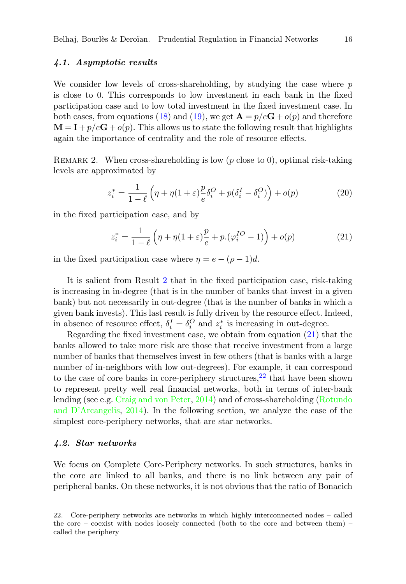# <span id="page-16-0"></span>4.1. Asymptotic results

We consider low levels of cross-shareholding, by studying the case where  $p$ is close to 0. This corresponds to low investment in each bank in the fixed participation case and to low total investment in the fixed investment case. In both cases, from equations [\(18\)](#page-14-2) and [\(19\)](#page-14-3), we get  $\mathbf{A} = p/e\mathbf{G} + o(p)$  and therefore  $\mathbf{M} = \mathbf{I} + p/e\mathbf{G} + o(p)$ . This allows us to state the following result that highlights again the importance of centrality and the role of resource effects.

REMARK 2. When cross-shareholding is low  $(p \text{ close to } 0)$ , optimal risk-taking levels are approximated by

$$
z_i^* = \frac{1}{1-\ell} \left( \eta + \eta (1+\varepsilon) \frac{p}{e} \delta_i^O + p(\delta_i^I - \delta_i^O) \right) + o(p) \tag{20}
$$

in the fixed participation case, and by

<span id="page-16-2"></span>
$$
z_i^* = \frac{1}{1-\ell} \left( \eta + \eta (1+\varepsilon) \frac{p}{e} + p \left( \varphi_i^{IO} - 1 \right) \right) + o(p) \tag{21}
$$

in the fixed participation case where  $\eta = e - (\rho - 1)d$ .

It is salient from Result [2](#page-16-2) that in the fixed participation case, risk-taking is increasing in in-degree (that is in the number of banks that invest in a given bank) but not necessarily in out-degree (that is the number of banks in which a given bank invests). This last result is fully driven by the resource effect. Indeed, in absence of resource effect,  $\delta_i^I = \delta_i^O$  and  $z_i^*$  is increasing in out-degree.

Regarding the fixed investment case, we obtain from equation [\(21\)](#page-16-2) that the banks allowed to take more risk are those that receive investment from a large number of banks that themselves invest in few others (that is banks with a large number of in-neighbors with low out-degrees). For example, it can correspond to the case of core banks in core-periphery structures,  $22$  that have been shown to represent pretty well real financial networks, both in terms of inter-bank lending (see e.g. [Craig and von Peter,](#page-42-17) [2014\)](#page-42-17) and of cross-shareholding [\(Rotundo](#page-43-2) [and D'Arcangelis,](#page-43-2) [2014\)](#page-43-2). In the following section, we analyze the case of the simplest core-periphery networks, that are star networks.

#### <span id="page-16-1"></span>4.2. Star networks

We focus on Complete Core-Periphery networks. In such structures, banks in the core are linked to all banks, and there is no link between any pair of peripheral banks. On these networks, it is not obvious that the ratio of Bonacich

<span id="page-16-3"></span><sup>22.</sup> Core-periphery networks are networks in which highly interconnected nodes – called the core – coexist with nodes loosely connected (both to the core and between them) – called the periphery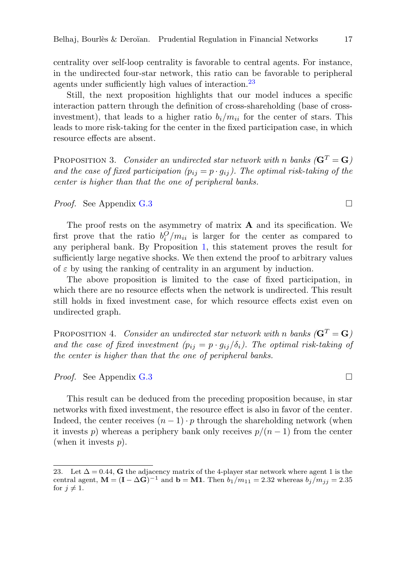centrality over self-loop centrality is favorable to central agents. For instance, in the undirected four-star network, this ratio can be favorable to peripheral agents under sufficiently high values of interaction.<sup>[23](#page-17-0)</sup>

Still, the next proposition highlights that our model induces a specific interaction pattern through the definition of cross-shareholding (base of crossinvestment), that leads to a higher ratio  $b_i/m_{ii}$  for the center of stars. This leads to more risk-taking for the center in the fixed participation case, in which resource effects are absent.

<span id="page-17-1"></span>PROPOSITION 3. Consider an undirected star network with n banks  $(\mathbf{G}^T = \mathbf{G})$ and the case of fixed participation  $(p_{ij} = p \cdot q_{ij})$ . The optimal risk-taking of the center is higher than that the one of peripheral banks.

*Proof.* See Appendix [G.3](#page-38-0)

The proof rests on the asymmetry of matrix  $A$  and its specification. We first prove that the ratio  $b_i^O/m_{ii}$  is larger for the center as compared to any peripheral bank. By Proposition [1,](#page-12-0) this statement proves the result for sufficiently large negative shocks. We then extend the proof to arbitrary values of  $\varepsilon$  by using the ranking of centrality in an argument by induction.

The above proposition is limited to the case of fixed participation, in which there are no resource effects when the network is undirected. This result still holds in fixed investment case, for which resource effects exist even on undirected graph.

<span id="page-17-2"></span>PROPOSITION 4. Consider an undirected star network with n banks  $(\mathbf{G}^T = \mathbf{G})$ and the case of fixed investment  $(p_{ij} = p \cdot g_{ij}/\delta_i)$ . The optimal risk-taking of the center is higher than that the one of peripheral banks.

*Proof.* See Appendix [G.3](#page-38-0)

This result can be deduced from the preceding proposition because, in star networks with fixed investment, the resource effect is also in favor of the center. Indeed, the center receives  $(n-1) \cdot p$  through the shareholding network (when it invests p) whereas a periphery bank only receives  $p/(n-1)$  from the center (when it invests  $p$ ).

<span id="page-17-0"></span><sup>23.</sup> Let  $\Delta = 0.44$ , G the adjacency matrix of the 4-player star network where agent 1 is the central agent,  $\mathbf{M} = (\mathbf{I} - \Delta \mathbf{G})^{-1}$  and  $\mathbf{b} = \mathbf{M} \mathbf{1}$ . Then  $b_1/m_{11} = 2.32$  whereas  $b_j/m_{jj} = 2.35$ for  $j \neq 1$ .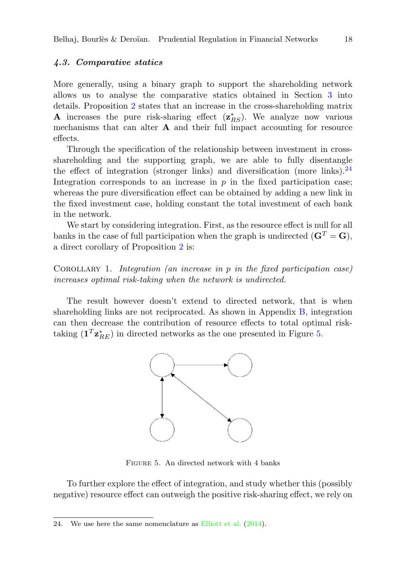# <span id="page-18-0"></span>4.3. Comparative statics

More generally, using a binary graph to support the shareholding network allows us to analyse the comparative statics obtained in Section [3](#page-10-0) into details. Proposition [2](#page-13-2) states that an increase in the cross-shareholding matrix **A** increases the pure risk-sharing effect  $(z_{RS}^*)$ . We analyze now various mechanisms that can alter  $A$  and their full impact accounting for resource effects.

Through the specification of the relationship between investment in crossshareholding and the supporting graph, we are able to fully disentangle the effect of integration (stronger links) and diversification (more links).<sup>[24](#page-18-1)</sup> Integration corresponds to an increase in  $p$  in the fixed participation case; whereas the pure diversification effect can be obtained by adding a new link in the fixed investment case, holding constant the total investment of each bank in the network.

We start by considering integration. First, as the resource effect is null for all banks in the case of full participation when the graph is undirected  $(\mathbf{G}^T = \mathbf{G})$ , a direct corollary of Proposition [2](#page-13-2) is:

COROLLARY 1. Integration (an increase in p in the fixed participation case) increases optimal risk-taking when the network is undirected.

<span id="page-18-2"></span>The result however doesn't extend to directed network, that is when shareholding links are not reciprocated. As shown in Appendix [B,](#page-29-0) integration can then decrease the contribution of resource effects to total optimal risktaking  $(\mathbf{1}^T \mathbf{z}_{RE}^*)$  in directed networks as the one presented in Figure [5.](#page-18-2)



Figure 5. An directed network with 4 banks

To further explore the effect of integration, and study whether this (possibly negative) resource effect can outweigh the positive risk-sharing effect, we rely on

<span id="page-18-1"></span><sup>24.</sup> We use here the same nomenclature as [Elliott et al.](#page-42-7) [\(2014\)](#page-42-7).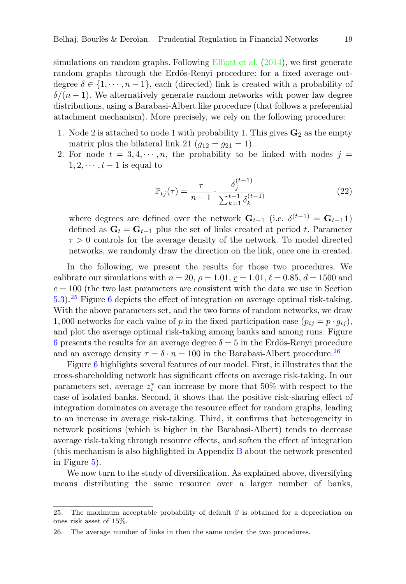simulations on random graphs. Following [Elliott et al.](#page-42-7) [\(2014\)](#page-42-7), we first generate random graphs through the Erdös-Renyi procedure: for a fixed average outdegree  $\delta \in \{1, \dots, n-1\}$ , each (directed) link is created with a probability of  $\delta/(n-1)$ . We alternatively generate random networks with power law degree distributions, using a Barabasi-Albert like procedure (that follows a preferential attachment mechanism). More precisely, we rely on the following procedure:

- 1. Node 2 is attached to node 1 with probability 1. This gives  $\mathbf{G}_2$  as the empty matrix plus the bilateral link 21  $(g_{12} = g_{21} = 1)$ .
- 2. For node  $t = 3, 4, \dots, n$ , the probability to be linked with nodes  $j =$  $1, 2, \cdots, t-1$  is equal to

$$
\mathbb{P}_{tj}(\tau) = \frac{\tau}{n-1} \cdot \frac{\delta_j^{(t-1)}}{\sum_{k=1}^{t-1} \delta_k^{(t-1)}}\tag{22}
$$

where degrees are defined over the network  $\mathbf{G}_{t-1}$  (i.e.  $\delta^{(t-1)} = \mathbf{G}_{t-1} \mathbf{1}$ ) defined as  $G_t = G_{t-1}$  plus the set of links created at period t. Parameter  $\tau > 0$  controls for the average density of the network. To model directed networks, we randomly draw the direction on the link, once one in created.

In the following, we present the results for those two procedures. We calibrate our simulations with  $n = 20$ ,  $\rho = 1.01$ ,  $r = 1.01$ ,  $\ell = 0.85$ ,  $d = 1500$  and  $e = 100$  (the two last parameters are consistent with the data we use in Section [5.3\)](#page-23-0).[25](#page-19-0) Figure [6](#page-20-0) depicts the effect of integration on average optimal risk-taking. With the above parameters set, and the two forms of random networks, we draw 1,000 networks for each value of p in the fixed participation case  $(p_{ij} = p \cdot q_{ij})$ , and plot the average optimal risk-taking among banks and among runs. Figure [6](#page-20-0) presents the results for an average degree  $\delta = 5$  in the Erdös-Renyi procedure and an average density  $\tau = \delta \cdot n = 100$  in the Barabasi-Albert procedure.<sup>[26](#page-19-1)</sup>

Figure [6](#page-20-0) highlights several features of our model. First, it illustrates that the cross-shareholding network has significant effects on average risk-taking. In our parameters set, average  $z_i^*$  can increase by more that 50% with respect to the case of isolated banks. Second, it shows that the positive risk-sharing effect of integration dominates on average the resource effect for random graphs, leading to an increase in average risk-taking. Third, it confirms that heterogeneity in network positions (which is higher in the Barabasi-Albert) tends to decrease average risk-taking through resource effects, and soften the effect of integration (this mechanism is also highlighted in Appendix [B](#page-29-0) about the network presented in Figure [5\)](#page-18-2).

We now turn to the study of diversification. As explained above, diversifying means distributing the same resource over a larger number of banks,

<span id="page-19-0"></span><sup>25.</sup> The maximum acceptable probability of default  $\beta$  is obtained for a depreciation on ones risk asset of 15%.

<span id="page-19-1"></span><sup>26.</sup> The average number of links in then the same under the two procedures.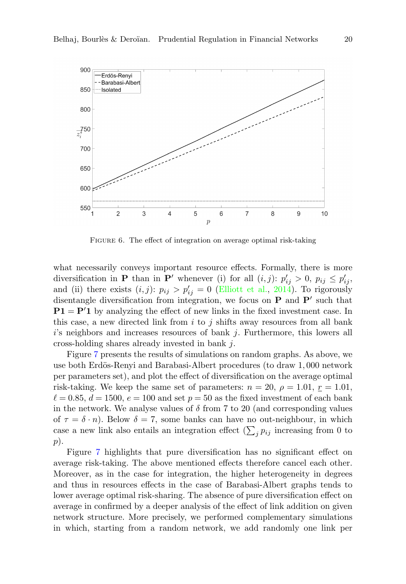<span id="page-20-0"></span>

Figure 6. The effect of integration on average optimal risk-taking

what necessarily conveys important resource effects. Formally, there is more diversification in **P** than in **P'** whenever (i) for all  $(i, j)$ :  $p'_{ij} > 0$ ,  $p_{ij} \leq p'_{ij}$ , and (ii) there exists  $(i, j)$ :  $p_{ij} > p'_{ij} = 0$  [\(Elliott et al.,](#page-42-7) [2014\)](#page-42-7). To rigorously disentangle diversification from integration, we focus on  $P$  and  $P'$  such that  $P1 = P'1$  by analyzing the effect of new links in the fixed investment case. In this case, a new directed link from  $i$  to  $j$  shifts away resources from all bank  $i$ 's neighbors and increases resources of bank  $j$ . Furthermore, this lowers all cross-holding shares already invested in bank j.

Figure [7](#page-21-2) presents the results of simulations on random graphs. As above, we use both Erdös-Renyi and Barabasi-Albert procedures (to draw 1,000 network per parameters set), and plot the effect of diversification on the average optimal risk-taking. We keep the same set of parameters:  $n = 20$ ,  $\rho = 1.01$ ,  $r = 1.01$ ,  $\ell = 0.85, d = 1500, e = 100$  and set  $p = 50$  as the fixed investment of each bank in the network. We analyse values of  $\delta$  from 7 to 20 (and corresponding values of  $\tau = \delta \cdot n$ ). Below  $\delta = 7$ , some banks can have no out-neighbour, in which case a new link also entails an integration effect  $(\sum_j p_{ij})$  increasing from 0 to p).

Figure [7](#page-21-2) highlights that pure diversification has no significant effect on average risk-taking. The above mentioned effects therefore cancel each other. Moreover, as in the case for integration, the higher heterogeneity in degrees and thus in resources effects in the case of Barabasi-Albert graphs tends to lower average optimal risk-sharing. The absence of pure diversification effect on average in confirmed by a deeper analysis of the effect of link addition on given network structure. More precisely, we performed complementary simulations in which, starting from a random network, we add randomly one link per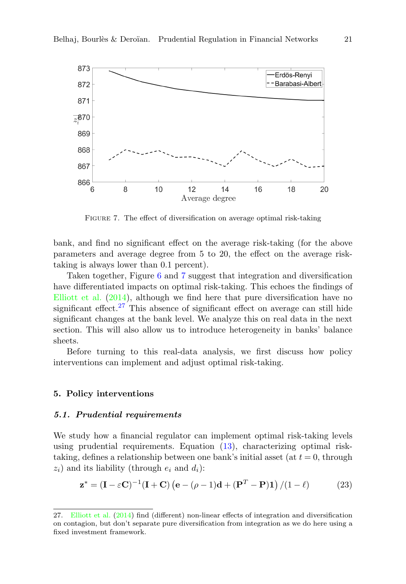<span id="page-21-2"></span>

FIGURE 7. The effect of diversification on average optimal risk-taking

bank, and find no significant effect on the average risk-taking (for the above parameters and average degree from 5 to 20, the effect on the average risktaking is always lower than 0.1 percent).

Taken together, Figure [6](#page-20-0) and [7](#page-21-2) suggest that integration and diversification have differentiated impacts on optimal risk-taking. This echoes the findings of [Elliott et al.](#page-42-7) [\(2014\)](#page-42-7), although we find here that pure diversification have no significant effect.<sup>[27](#page-21-3)</sup> This absence of significant effect on average can still hide significant changes at the bank level. We analyze this on real data in the next section. This will also allow us to introduce heterogeneity in banks' balance sheets.

Before turning to this real-data analysis, we first discuss how policy interventions can implement and adjust optimal risk-taking.

# <span id="page-21-0"></span>5. Policy interventions

#### <span id="page-21-1"></span>5.1. Prudential requirements

We study how a financial regulator can implement optimal risk-taking levels using prudential requirements. Equation [\(13\)](#page-11-1), characterizing optimal risktaking, defines a relationship between one bank's initial asset (at  $t = 0$ , through  $z_i$ ) and its liability (through  $e_i$  and  $d_i$ ):

<span id="page-21-4"></span>
$$
\mathbf{z}^* = (\mathbf{I} - \varepsilon \mathbf{C})^{-1} (\mathbf{I} + \mathbf{C}) (\mathbf{e} - (\rho - 1)\mathbf{d} + (\mathbf{P}^T - \mathbf{P})\mathbf{1}) / (1 - \ell)
$$
 (23)

<span id="page-21-3"></span><sup>27.</sup> [Elliott et al.](#page-42-7) [\(2014\)](#page-42-7) find (different) non-linear effects of integration and diversification on contagion, but don't separate pure diversification from integration as we do here using a fixed investment framework.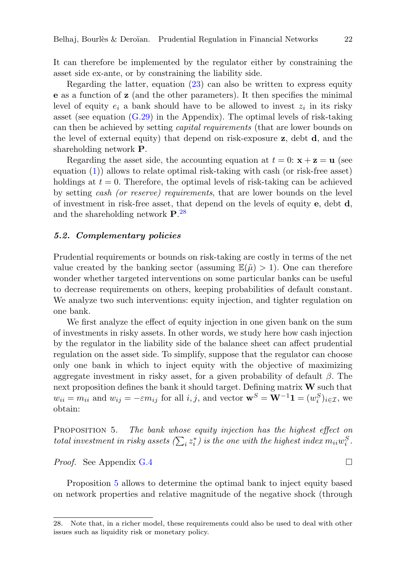It can therefore be implemented by the regulator either by constraining the asset side ex-ante, or by constraining the liability side.

Regarding the latter, equation  $(23)$  can also be written to express equity e as a function of z (and the other parameters). It then specifies the minimal level of equity  $e_i$  a bank should have to be allowed to invest  $z_i$  in its risky asset (see equation [\(G.29\)](#page-41-0) in the Appendix). The optimal levels of risk-taking can then be achieved by setting capital requirements (that are lower bounds on the level of external equity) that depend on risk-exposure z, debt d, and the shareholding network P.

Regarding the asset side, the accounting equation at  $t = 0$ :  $\mathbf{x} + \mathbf{z} = \mathbf{u}$  (see equation [\(1\)](#page-5-3)) allows to relate optimal risk-taking with cash (or risk-free asset) holdings at  $t = 0$ . Therefore, the optimal levels of risk-taking can be achieved by setting cash (or reserve) requirements, that are lower bounds on the level of investment in risk-free asset, that depend on the levels of equity  $e$ , debt  $d$ , and the shareholding network  $P^{28}$  $P^{28}$  $P^{28}$ .

# <span id="page-22-0"></span>5.2. Complementary policies

Prudential requirements or bounds on risk-taking are costly in terms of the net value created by the banking sector (assuming  $\mathbb{E}(\tilde{\mu}) > 1$ ). One can therefore wonder whether targeted interventions on some particular banks can be useful to decrease requirements on others, keeping probabilities of default constant. We analyze two such interventions: equity injection, and tighter regulation on one bank.

We first analyze the effect of equity injection in one given bank on the sum of investments in risky assets. In other words, we study here how cash injection by the regulator in the liability side of the balance sheet can affect prudential regulation on the asset side. To simplify, suppose that the regulator can choose only one bank in which to inject equity with the objective of maximizing aggregate investment in risky asset, for a given probability of default  $\beta$ . The next proposition defines the bank it should target. Defining matrix  $W$  such that  $w_{ii} = m_{ii}$  and  $w_{ij} = -\varepsilon m_{ij}$  for all  $i, j$ , and vector  $\mathbf{w}^S = \mathbf{W}^{-1} \mathbf{1} = (w_i^S)_{i \in \mathcal{I}}$ , we obtain:

<span id="page-22-2"></span>PROPOSITION 5. The bank whose equity injection has the highest effect on total investment in risky assets  $(\sum_i z_i^*)$  is the one with the highest index  $m_{ii}w_i^S$ .

*Proof.* See Appendix [G.4](#page-40-0)

Proposition [5](#page-22-2) allows to determine the optimal bank to inject equity based on network properties and relative magnitude of the negative shock (through

<span id="page-22-1"></span><sup>28.</sup> Note that, in a richer model, these requirements could also be used to deal with other issues such as liquidity risk or monetary policy.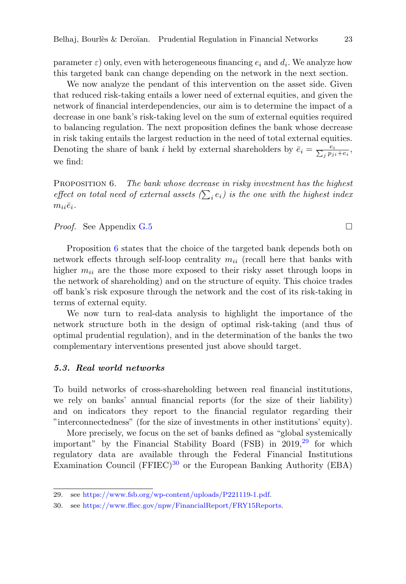parameter  $\varepsilon$ ) only, even with heterogeneous financing  $e_i$  and  $d_i$ . We analyze how this targeted bank can change depending on the network in the next section.

We now analyze the pendant of this intervention on the asset side. Given that reduced risk-taking entails a lower need of external equities, and given the network of financial interdependencies, our aim is to determine the impact of a decrease in one bank's risk-taking level on the sum of external equities required to balancing regulation. The next proposition defines the bank whose decrease in risk taking entails the largest reduction in the need of total external equities. Denoting the share of bank *i* held by external shareholders by  $\bar{e}_i = \frac{e_i}{\sum_j p_{ji} + e_i}$ , we find:

<span id="page-23-1"></span>PROPOSITION 6. The bank whose decrease in risky investment has the highest effect on total need of external assets  $(\sum_i e_i)$  is the one with the highest index  $m_{ii}\bar{e}_i$ .

*Proof.* See Appendix [G.5](#page-41-1)

Proposition [6](#page-23-1) states that the choice of the targeted bank depends both on network effects through self-loop centrality  $m_{ii}$  (recall here that banks with higher  $m_{ii}$  are the those more exposed to their risky asset through loops in the network of shareholding) and on the structure of equity. This choice trades off bank's risk exposure through the network and the cost of its risk-taking in terms of external equity.

We now turn to real-data analysis to highlight the importance of the network structure both in the design of optimal risk-taking (and thus of optimal prudential regulation), and in the determination of the banks the two complementary interventions presented just above should target.

# <span id="page-23-0"></span>5.3. Real world networks

To build networks of cross-shareholding between real financial institutions, we rely on banks' annual financial reports (for the size of their liability) and on indicators they report to the financial regulator regarding their "interconnectedness" (for the size of investments in other institutions' equity).

More precisely, we focus on the set of banks defined as "global systemically important" by the Financial Stability Board (FSB) in  $2019<sup>29</sup>$  $2019<sup>29</sup>$  $2019<sup>29</sup>$  for which regulatory data are available through the Federal Financial Institutions Examination Council (FFIEC)<sup>[30](#page-23-3)</sup> or the European Banking Authority (EBA)

<span id="page-23-2"></span><sup>29.</sup> see [https://www.fsb.org/wp-content/uploads/P221119-1.pdf.](https://www.fsb.org/wp-content/uploads/P221119-1.pdf)

<span id="page-23-3"></span><sup>30.</sup> see [https://www.ffiec.gov/npw/FinancialReport/FRY15Reports.](https://www.ffiec.gov/npw/FinancialReport/FRY15Reports)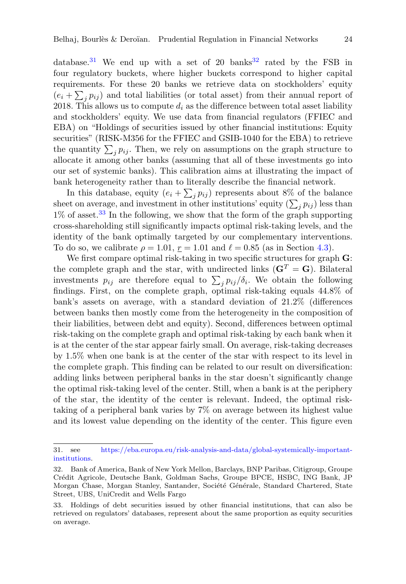database.<sup>[31](#page-24-0)</sup> We end up with a set of 20 banks<sup>[32](#page-24-1)</sup> rated by the FSB in four regulatory buckets, where higher buckets correspond to higher capital requirements. For these 20 banks we retrieve data on stockholders' equity  $(e_i + \sum_j p_{ij})$  and total liabilities (or total asset) from their annual report of 2018. This allows us to compute  $d_i$  as the difference between total asset liability and stockholders' equity. We use data from financial regulators (FFIEC and EBA) on "Holdings of securities issued by other financial institutions: Equity securities" (RISK-M356 for the FFIEC and GSIB-1040 for the EBA) to retrieve the quantity  $\sum_j p_{ij}$ . Then, we rely on assumptions on the graph structure to allocate it among other banks (assuming that all of these investments go into our set of systemic banks). This calibration aims at illustrating the impact of bank heterogeneity rather than to literally describe the financial network.

In this database, equity  $(e_i + \sum_j p_{ij})$  represents about 8% of the balance sheet on average, and investment in other institutions' equity  $(\sum_j p_{ij})$  less than  $1\%$  of asset.<sup>[33](#page-24-2)</sup> In the following, we show that the form of the graph supporting cross-shareholding still significantly impacts optimal risk-taking levels, and the identity of the bank optimally targeted by our complementary interventions. To do so, we calibrate  $\rho = 1.01$ ,  $r = 1.01$  and  $\ell = 0.85$  (as in Section [4.3\)](#page-18-0).

We first compare optimal risk-taking in two specific structures for graph  $\bf{G}$ : the complete graph and the star, with undirected links  $(\mathbf{G}^T = \mathbf{G})$ . Bilateral investments  $p_{ij}$  are therefore equal to  $\sum_j p_{ij}/\delta_i$ . We obtain the following findings. First, on the complete graph, optimal risk-taking equals 44.8% of bank's assets on average, with a standard deviation of 21.2% (differences between banks then mostly come from the heterogeneity in the composition of their liabilities, between debt and equity). Second, differences between optimal risk-taking on the complete graph and optimal risk-taking by each bank when it is at the center of the star appear fairly small. On average, risk-taking decreases by 1.5% when one bank is at the center of the star with respect to its level in the complete graph. This finding can be related to our result on diversification: adding links between peripheral banks in the star doesn't significantly change the optimal risk-taking level of the center. Still, when a bank is at the periphery of the star, the identity of the center is relevant. Indeed, the optimal risktaking of a peripheral bank varies by 7% on average between its highest value and its lowest value depending on the identity of the center. This figure even

<span id="page-24-0"></span><sup>31.</sup> see [https://eba.europa.eu/risk-analysis-and-data/global-systemically-important](https://eba.europa.eu/risk-analysis-and-data/global-systemically-important-institutions)[institutions.](https://eba.europa.eu/risk-analysis-and-data/global-systemically-important-institutions)

<span id="page-24-1"></span><sup>32.</sup> Bank of America, Bank of New York Mellon, Barclays, BNP Paribas, Citigroup, Groupe Cr´edit Agricole, Deutsche Bank, Goldman Sachs, Groupe BPCE, HSBC, ING Bank, JP Morgan Chase, Morgan Stanley, Santander, Société Générale, Standard Chartered, State Street, UBS, UniCredit and Wells Fargo

<span id="page-24-2"></span><sup>33.</sup> Holdings of debt securities issued by other financial institutions, that can also be retrieved on regulators' databases, represent about the same proportion as equity securities on average.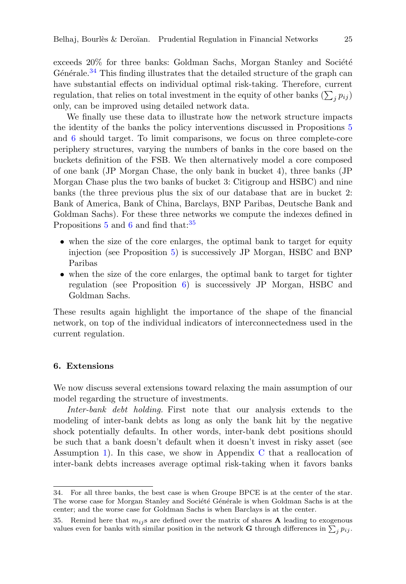exceeds  $20\%$  for three banks: Goldman Sachs, Morgan Stanley and Société Générale.<sup>[34](#page-25-1)</sup> This finding illustrates that the detailed structure of the graph can have substantial effects on individual optimal risk-taking. Therefore, current regulation, that relies on total investment in the equity of other banks  $(\sum_j p_{ij})$ only, can be improved using detailed network data.

We finally use these data to illustrate how the network structure impacts the identity of the banks the policy interventions discussed in Propositions [5](#page-22-2) and [6](#page-23-1) should target. To limit comparisons, we focus on three complete-core periphery structures, varying the numbers of banks in the core based on the buckets definition of the FSB. We then alternatively model a core composed of one bank (JP Morgan Chase, the only bank in bucket 4), three banks (JP Morgan Chase plus the two banks of bucket 3: Citigroup and HSBC) and nine banks (the three previous plus the six of our database that are in bucket 2: Bank of America, Bank of China, Barclays, BNP Paribas, Deutsche Bank and Goldman Sachs). For these three networks we compute the indexes defined in Propositions  $5$  and  $6$  and find that:  $35$ 

- when the size of the core enlarges, the optimal bank to target for equity injection (see Proposition [5\)](#page-22-2) is successively JP Morgan, HSBC and BNP Paribas
- when the size of the core enlarges, the optimal bank to target for tighter regulation (see Proposition [6\)](#page-23-1) is successively JP Morgan, HSBC and Goldman Sachs.

These results again highlight the importance of the shape of the financial network, on top of the individual indicators of interconnectedness used in the current regulation.

# <span id="page-25-0"></span>6. Extensions

We now discuss several extensions toward relaxing the main assumption of our model regarding the structure of investments.

Inter-bank debt holding. First note that our analysis extends to the modeling of inter-bank debts as long as only the bank hit by the negative shock potentially defaults. In other words, inter-bank debt positions should be such that a bank doesn't default when it doesn't invest in risky asset (see Assumption [1\)](#page-6-0). In this case, we show in Appendix [C](#page-30-1) that a reallocation of inter-bank debts increases average optimal risk-taking when it favors banks

<span id="page-25-1"></span><sup>34.</sup> For all three banks, the best case is when Groupe BPCE is at the center of the star. The worse case for Morgan Stanley and Société Générale is when Goldman Sachs is at the center; and the worse case for Goldman Sachs is when Barclays is at the center.

<span id="page-25-2"></span><sup>35.</sup> Remind here that  $m_{ij}$ s are defined over the matrix of shares **A** leading to exogenous values even for banks with similar position in the network **G** through differences in  $\sum_j p_{ij}$ .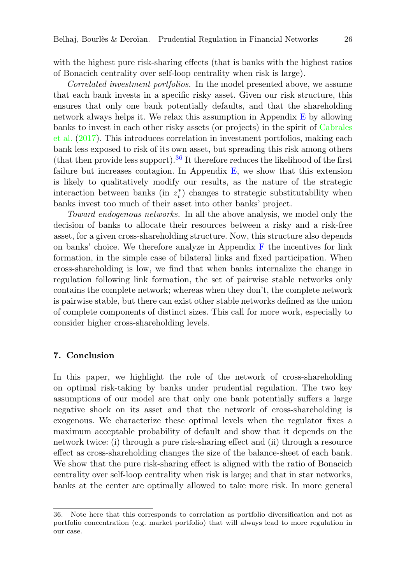with the highest pure risk-sharing effects (that is banks with the highest ratios of Bonacich centrality over self-loop centrality when risk is large).

Correlated investment portfolios. In the model presented above, we assume that each bank invests in a specific risky asset. Given our risk structure, this ensures that only one bank potentially defaults, and that the shareholding network always helps it. We relax this assumption in Appendix [E](#page-31-0) by allowing banks to invest in each other risky assets (or projects) in the spirit of [Cabrales](#page-42-6) [et al.](#page-42-6) [\(2017\)](#page-42-6). This introduces correlation in investment portfolios, making each bank less exposed to risk of its own asset, but spreading this risk among others (that then provide less support).<sup>[36](#page-26-1)</sup> It therefore reduces the likelihood of the first failure but increases contagion. In Appendix  $E$ , we show that this extension is likely to qualitatively modify our results, as the nature of the strategic interaction between banks (in  $z_i^*$ ) changes to strategic substitutability when banks invest too much of their asset into other banks' project.

Toward endogenous networks. In all the above analysis, we model only the decision of banks to allocate their resources between a risky and a risk-free asset, for a given cross-shareholding structure. Now, this structure also depends on banks' choice. We therefore analyze in Appendix [F](#page-33-0) the incentives for link formation, in the simple case of bilateral links and fixed participation. When cross-shareholding is low, we find that when banks internalize the change in regulation following link formation, the set of pairwise stable networks only contains the complete network; whereas when they don't, the complete network is pairwise stable, but there can exist other stable networks defined as the union of complete components of distinct sizes. This call for more work, especially to consider higher cross-shareholding levels.

# <span id="page-26-0"></span>7. Conclusion

In this paper, we highlight the role of the network of cross-shareholding on optimal risk-taking by banks under prudential regulation. The two key assumptions of our model are that only one bank potentially suffers a large negative shock on its asset and that the network of cross-shareholding is exogenous. We characterize these optimal levels when the regulator fixes a maximum acceptable probability of default and show that it depends on the network twice: (i) through a pure risk-sharing effect and (ii) through a resource effect as cross-shareholding changes the size of the balance-sheet of each bank. We show that the pure risk-sharing effect is aligned with the ratio of Bonacich centrality over self-loop centrality when risk is large; and that in star networks, banks at the center are optimally allowed to take more risk. In more general

<span id="page-26-1"></span><sup>36.</sup> Note here that this corresponds to correlation as portfolio diversification and not as portfolio concentration (e.g. market portfolio) that will always lead to more regulation in our case.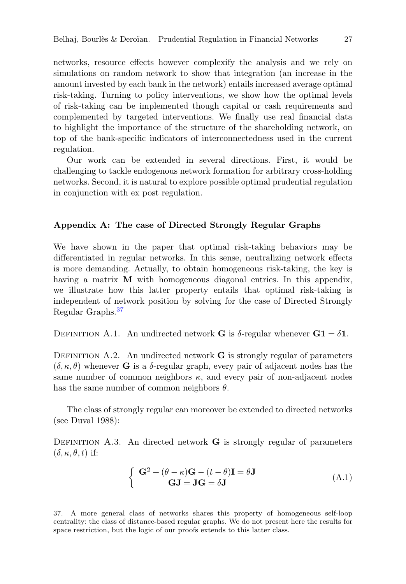networks, resource effects however complexify the analysis and we rely on simulations on random network to show that integration (an increase in the amount invested by each bank in the network) entails increased average optimal risk-taking. Turning to policy interventions, we show how the optimal levels of risk-taking can be implemented though capital or cash requirements and complemented by targeted interventions. We finally use real financial data to highlight the importance of the structure of the shareholding network, on top of the bank-specific indicators of interconnectedness used in the current regulation.

Our work can be extended in several directions. First, it would be challenging to tackle endogenous network formation for arbitrary cross-holding networks. Second, it is natural to explore possible optimal prudential regulation in conjunction with ex post regulation.

# <span id="page-27-0"></span>Appendix A: The case of Directed Strongly Regular Graphs

We have shown in the paper that optimal risk-taking behaviors may be differentiated in regular networks. In this sense, neutralizing network effects is more demanding. Actually, to obtain homogeneous risk-taking, the key is having a matrix **M** with homogeneous diagonal entries. In this appendix, we illustrate how this latter property entails that optimal risk-taking is independent of network position by solving for the case of Directed Strongly Regular Graphs.[37](#page-27-1)

DEFINITION A.1. An undirected network **G** is  $\delta$ -regular whenever  $\mathbf{G1} = \delta \mathbf{1}$ .

DEFINITION  $A.2$ . An undirected network  $G$  is strongly regular of parameters  $(\delta, \kappa, \theta)$  whenever **G** is a  $\delta$ -regular graph, every pair of adjacent nodes has the same number of common neighbors  $\kappa$ , and every pair of non-adjacent nodes has the same number of common neighbors  $\theta$ .

The class of strongly regular can moreover be extended to directed networks (see Duval 1988):

DEFINITION A.3. An directed network  $\bf{G}$  is strongly regular of parameters  $(\delta, \kappa, \theta, t)$  if:

$$
\begin{cases} \mathbf{G}^2 + (\theta - \kappa)\mathbf{G} - (t - \theta)\mathbf{I} = \theta \mathbf{J} \\ \mathbf{G}\mathbf{J} = \mathbf{J}\mathbf{G} = \delta \mathbf{J} \end{cases}
$$
 (A.1)

<span id="page-27-1"></span><sup>37.</sup> A more general class of networks shares this property of homogeneous self-loop centrality: the class of distance-based regular graphs. We do not present here the results for space restriction, but the logic of our proofs extends to this latter class.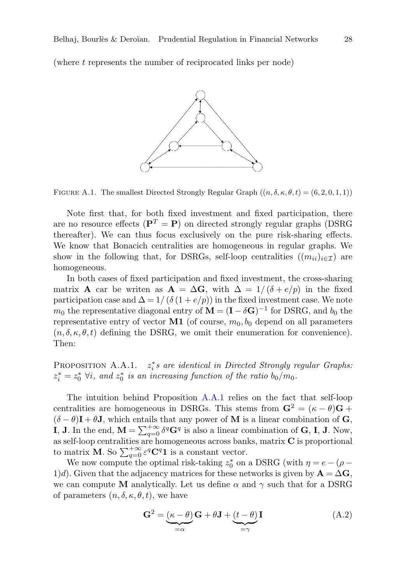(where t represents the number of reciprocated links per node)



FIGURE A.1. The smallest Directed Strongly Regular Graph  $((n, \delta, \kappa, \theta, t) = (6, 2, 0, 1, 1))$ 

Note first that, for both fixed investment and fixed participation, there are no resource effects ( $\mathbf{P}^T = \mathbf{P}$ ) on directed strongly regular graphs (DSRG thereafter). We can thus focus exclusively on the pure risk-sharing effects. We know that Bonacich centralities are homogeneous in regular graphs. We show in the following that, for DSRGs, self-loop centralities  $((m_{ii})_{i\in\mathcal{I}})$  are homogeneous.

In both cases of fixed participation and fixed investment, the cross-sharing matrix **A** car be writen as  $\mathbf{A} = \Delta \mathbf{G}$ , with  $\Delta = 1/(\delta + e/p)$  in the fixed participation case and  $\Delta = 1/(\delta(1 + e/p))$  in the fixed investment case. We note  $m_0$  the representative diagonal entry of  $\mathbf{M} = (\mathbf{I} - \delta \mathbf{G})^{-1}$  for DSRG, and  $b_0$  the representative entry of vector  $M1$  (of course,  $m_0, b_0$  depend on all parameters  $(n, \delta, \kappa, \theta, t)$  defining the DSRG, we omit their enumeration for convenience). Then:

<span id="page-28-0"></span>PROPOSITION A.A.1.  $z_i^*s$  are identical in Directed Strongly regular Graphs:  $z_i^* = z_0^*$   $\forall i$ , and  $z_0^*$  is an increasing function of the ratio  $b_0/m_0$ .

The intuition behind Proposition [A.A.1](#page-28-0) relies on the fact that self-loop centralities are homogeneous in DSRGs. This stems from  $\mathbf{G}^2 = (\kappa - \theta)\mathbf{G} + \mathbf{G}^2$  $(\delta - \theta)I + \theta J$ , which entails that any power of M is a linear combination of G, **I**, **J**. In the end,  $\mathbf{M} = \sum_{q=0}^{+\infty} \delta^q \mathbf{G}^q$  is also a linear combination of **G**, **I**, **J**. Now, as self-loop centralities are homogeneous across banks, matrix C is proportional to matrix **M**. So  $\sum_{q=0}^{+\infty} \varepsilon^q \mathbf{C}^q \mathbf{1}$  is a constant vector.

We now compute the optimal risk-taking  $z_0^*$  on a DSRG (with  $\eta = e - (\rho - \rho)$ 1)d). Given that the adjacency matrices for these networks is given by  $\mathbf{A} = \Delta \mathbf{G}$ , we can compute M analytically. Let us define  $\alpha$  and  $\gamma$  such that for a DSRG of parameters  $(n, \delta, \kappa, \theta, t)$ , we have

$$
\mathbf{G}^2 = \underbrace{(\kappa - \theta)}_{=\alpha} \mathbf{G} + \theta \mathbf{J} + \underbrace{(t - \theta)}_{=\gamma} \mathbf{I}
$$
 (A.2)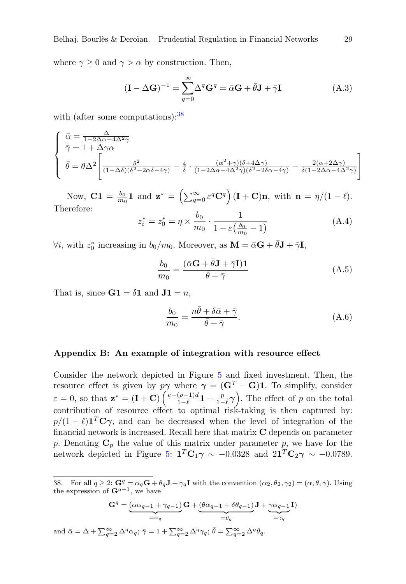where  $\gamma \geq 0$  and  $\gamma > \alpha$  by construction. Then,

$$
(\mathbf{I} - \Delta \mathbf{G})^{-1} = \sum_{q=0}^{\infty} \Delta^q \mathbf{G}^q = \bar{\alpha} \mathbf{G} + \bar{\theta} \mathbf{J} + \bar{\gamma} \mathbf{I}
$$
 (A.3)

with (after some computations):  $38$ 

$$
\begin{cases}\n\bar{\alpha} = \frac{\Delta}{1 - 2\Delta\alpha - 4\Delta^2\gamma} \\
\bar{\gamma} = 1 + \Delta\gamma\alpha \\
\bar{\theta} = \theta\Delta^2 \left[ \frac{\delta^2}{(1 - \Delta\delta)(\delta^2 - 2\alpha\delta - 4\gamma)} - \frac{4}{\delta} \cdot \frac{(\alpha^2 + \gamma)(\delta + 4\Delta\gamma)}{(1 - 2\Delta\alpha - 4\Delta^2\gamma)(\delta^2 - 2\delta\alpha - 4\gamma)} - \frac{2(\alpha + 2\Delta\gamma)}{\delta(1 - 2\Delta\alpha - 4\Delta^2\gamma)} \right]\n\end{cases}
$$

Now,  $\mathbf{C}\mathbf{1} = \frac{b_0}{m_0}\mathbf{1}$  and  $\mathbf{z}^* = \left(\sum_{q=0}^{\infty} \varepsilon^q \mathbf{C}^q\right) (\mathbf{I} + \mathbf{C})\mathbf{n}$ , with  $\mathbf{n} = \eta/(1-\ell)$ . Therefore:

$$
z_i^* = z_0^* = \eta \times \frac{b_0}{m_0} \cdot \frac{1}{1 - \varepsilon \left(\frac{b_0}{m_0} - 1\right)}\tag{A.4}
$$

 $\forall i$ , with  $z_0^*$  increasing in  $b_0/m_0$ . Moreover, as  $\mathbf{M} = \bar{\alpha}\mathbf{G} + \bar{\theta}\mathbf{J} + \bar{\gamma}\mathbf{I}$ ,

$$
\frac{b_0}{m_0} = \frac{(\bar{\alpha}\mathbf{G} + \bar{\theta}\mathbf{J} + \bar{\gamma}\mathbf{I})\mathbf{1}}{\bar{\theta} + \bar{\gamma}}
$$
(A.5)

That is, since  $G1 = \delta 1$  and  $J1 = n$ ,

$$
\frac{b_0}{m_0} = \frac{n\bar{\theta} + \delta\bar{\alpha} + \bar{\gamma}}{\bar{\theta} + \bar{\gamma}}.
$$
\n(A.6)

#### <span id="page-29-0"></span>Appendix B: An example of integration with resource effect

Consider the network depicted in Figure [5](#page-18-2) and fixed investment. Then, the resource effect is given by  $p\gamma$  where  $\gamma = (\mathbf{G}^T - \mathbf{G})\mathbf{1}$ . To simplify, consider  $\varepsilon = 0$ , so that  $\mathbf{z}^* = (\mathbf{I} + \mathbf{C}) \left( \frac{e - (\rho - 1)d}{1 - \rho} \right)$  $\frac{(\rho-1)d}{1-\ell}{\bf 1} + \frac{p}{1-\ell}$  $\frac{p}{1-\ell}\gamma$ ). The effect of p on the total contribution of resource effect to optimal risk-taking is then captured by:  $p/(1-\ell)\mathbf{1}^T\mathbf{C}\boldsymbol{\gamma}$ , and can be decreased when the level of integration of the financial network is increased. Recall here that matrix C depends on parameter p. Denoting  $\mathbf{C}_p$  the value of this matrix under parameter p, we have for the network depicted in Figure [5:](#page-18-2)  $\mathbf{1}^T \mathbf{C}_1 \boldsymbol{\gamma} \sim -0.0328$  and  $2\mathbf{1}^T \mathbf{C}_2 \boldsymbol{\gamma} \sim -0.0789$ .

$$
\mathbf{G}^q = \underbrace{(\alpha\alpha_{q-1} + \gamma_{q-1})}_{=\alpha_q} \mathbf{G} + \underbrace{(\theta\alpha_{q-1} + \delta\theta_{q-1})}_{=\theta_q} \mathbf{J} + \underbrace{\gamma\alpha_{q-1}}_{=\gamma_q} \mathbf{I})
$$

and  $\bar{\alpha} = \Delta + \sum_{q=2}^{\infty} \Delta^q \alpha_q$ ;  $\bar{\gamma} = 1 + \sum_{q=2}^{\infty} \Delta^q \gamma_q$ ;  $\bar{\theta} = \sum_{q=2}^{\infty} \Delta^q \theta_q$ .

<span id="page-29-1"></span><sup>38.</sup> For all  $q \ge 2$ :  $\mathbf{G}^q = \alpha_q \mathbf{G} + \theta_q \mathbf{J} + \gamma_q \mathbf{I}$  with the convention  $(\alpha_2, \theta_2, \gamma_2) = (\alpha, \theta, \gamma)$ . Using the expression of  $\mathbf{G}^{q-1}$ , we have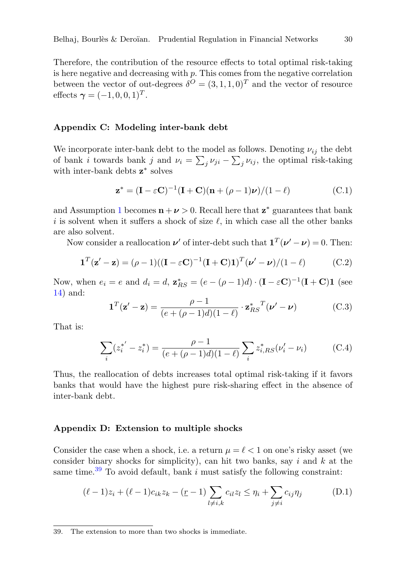Therefore, the contribution of the resource effects to total optimal risk-taking is here negative and decreasing with  $p$ . This comes from the negative correlation between the vector of out-degrees  $\delta^{O} = (3, 1, 1, 0)^{T}$  and the vector of resource effects  $\gamma = (-1, 0, 0, 1)^T$ .

#### <span id="page-30-1"></span>Appendix C: Modeling inter-bank debt

We incorporate inter-bank debt to the model as follows. Denoting  $\nu_{ij}$  the debt of bank *i* towards bank *j* and  $\nu_i = \sum_j \nu_{ji} - \sum_j \nu_{ij}$ , the optimal risk-taking with inter-bank debts  $z^*$  solves

$$
\mathbf{z}^* = (\mathbf{I} - \varepsilon \mathbf{C})^{-1} (\mathbf{I} + \mathbf{C}) (\mathbf{n} + (\rho - 1)\boldsymbol{\nu}) / (1 - \ell)
$$
 (C.1)

and Assumption [1](#page-6-0) becomes  $\mathbf{n} + \boldsymbol{\nu} > 0$ . Recall here that  $\mathbf{z}^*$  guarantees that bank i is solvent when it suffers a shock of size  $\ell$ , in which case all the other banks are also solvent.

Now consider a reallocation  $v'$  of inter-debt such that  $\mathbf{1}^T(\nu' - \nu) = 0$ . Then:

$$
\mathbf{1}^T(\mathbf{z}' - \mathbf{z}) = (\rho - 1)((\mathbf{I} - \varepsilon \mathbf{C})^{-1}(\mathbf{I} + \mathbf{C})\mathbf{1})^T(\boldsymbol{\nu}' - \boldsymbol{\nu})/(1 - \ell)
$$
(C.2)

Now, when  $e_i = e$  and  $d_i = d$ ,  $\mathbf{z}_{RS}^* = (e - (\rho - 1)d) \cdot (\mathbf{I} - \varepsilon \mathbf{C})^{-1} (\mathbf{I} + \mathbf{C}) \mathbf{1}$  (see [14\)](#page-12-1) and:

$$
\mathbf{1}^T(\mathbf{z}' - \mathbf{z}) = \frac{\rho - 1}{(e + (\rho - 1)d)(1 - \ell)} \cdot \mathbf{z}_{RS}^* (v' - v)
$$
(C.3)

That is:

$$
\sum_{i} (z_i^{*'} - z_i^*) = \frac{\rho - 1}{(e + (\rho - 1)d)(1 - \ell)} \sum_{i} z_{i, RS}^* (\nu_i' - \nu_i)
$$
 (C.4)

Thus, the reallocation of debts increases total optimal risk-taking if it favors banks that would have the highest pure risk-sharing effect in the absence of inter-bank debt.

#### <span id="page-30-0"></span>Appendix D: Extension to multiple shocks

Consider the case when a shock, i.e. a return  $\mu = \ell < 1$  on one's risky asset (we consider binary shocks for simplicity), can hit two banks, say i and k at the same time.<sup>[39](#page-30-2)</sup> To avoid default, bank  $i$  must satisfy the following constraint:

$$
(\ell - 1)z_i + (\ell - 1)c_{ik}z_k - (\underline{r} - 1)\sum_{l \neq i,k} c_{il}z_l \leq \eta_i + \sum_{j \neq i} c_{ij}\eta_j \tag{D.1}
$$

<span id="page-30-2"></span><sup>39.</sup> The extension to more than two shocks is immediate.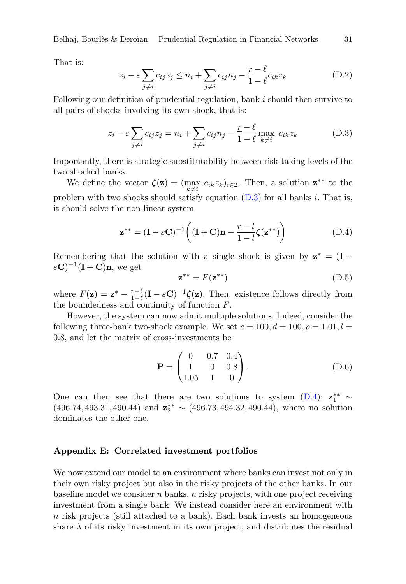Belhaj, Bourlès & Deroïan. Prudential Regulation in Financial Networks  $31$ 

That is:

$$
z_i - \varepsilon \sum_{j \neq i} c_{ij} z_j \leq n_i + \sum_{j \neq i} c_{ij} n_j - \frac{\underline{r} - \ell}{1 - \ell} c_{ik} z_k \tag{D.2}
$$

Following our definition of prudential regulation, bank i should then survive to all pairs of shocks involving its own shock, that is:

<span id="page-31-1"></span>
$$
z_i - \varepsilon \sum_{j \neq i} c_{ij} z_j = n_i + \sum_{j \neq i} c_{ij} n_j - \frac{\underline{r} - \ell}{1 - \ell} \max_{k \neq i} c_{ik} z_k \tag{D.3}
$$

Importantly, there is strategic substitutability between risk-taking levels of the two shocked banks.

We define the vector  $\zeta(z) = (\max_{k \neq i} c_{ik} z_k)_{i \in \mathcal{I}}$ . Then, a solution  $z^{**}$  to the problem with two shocks should satisfy equation  $(D.3)$  for all banks i. That is, it should solve the non-linear system

<span id="page-31-2"></span>
$$
\mathbf{z}^{**} = (\mathbf{I} - \varepsilon \mathbf{C})^{-1} \left( (\mathbf{I} + \mathbf{C}) \mathbf{n} - \frac{r - l}{1 - l} \zeta(\mathbf{z}^{**}) \right)
$$
(D.4)

Remembering that the solution with a single shock is given by  $z^* = (I \varepsilon \mathbf{C}$ )<sup>-1</sup>(**I** + **C**)**n**, we get

$$
\mathbf{z}^{**} = F(\mathbf{z}^{**}) \tag{D.5}
$$

where  $F(\mathbf{z}) = \mathbf{z}^* - \frac{r-\ell}{1-\ell}$  $\frac{r-\ell}{1-\ell}(\mathbf{I} - \varepsilon \mathbf{C})^{-1} \boldsymbol{\zeta}(\mathbf{z}).$  Then, existence follows directly from the boundedness and continuity of function  $F$ .

However, the system can now admit multiple solutions. Indeed, consider the following three-bank two-shock example. We set  $e = 100, d = 100, \rho = 1.01, l =$ 0.8, and let the matrix of cross-investments be

$$
\mathbf{P} = \begin{pmatrix} 0 & 0.7 & 0.4 \\ 1 & 0 & 0.8 \\ 1.05 & 1 & 0 \end{pmatrix} .
$$
 (D.6)

One can then see that there are two solutions to system [\(D.4\)](#page-31-2):  $\mathbf{z}_1^{**} \sim$  $(496.74, 493.31, 490.44)$  and  $\mathbf{z}_{2}^{**} \sim (496.73, 494.32, 490.44)$ , where no solution dominates the other one.

#### <span id="page-31-0"></span>Appendix E: Correlated investment portfolios

We now extend our model to an environment where banks can invest not only in their own risky project but also in the risky projects of the other banks. In our baseline model we consider  $n$  banks,  $n$  risky projects, with one project receiving investment from a single bank. We instead consider here an environment with  $n$  risk projects (still attached to a bank). Each bank invests an homogeneous share  $\lambda$  of its risky investment in its own project, and distributes the residual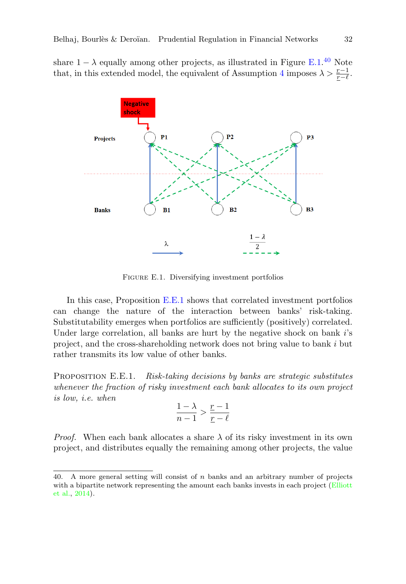share  $1 - \lambda$  equally among other projects, as illustrated in Figure [E.1.](#page-32-0)<sup>[40](#page-32-1)</sup> Note that, in this extended model, the equivalent of Assumption [4](#page-10-5) imposes  $\lambda > \frac{r-1}{r-\ell}$ .

<span id="page-32-0"></span>

Figure E.1. Diversifying investment portfolios

In this case, Proposition [E.E.1](#page-32-2) shows that correlated investment portfolios can change the nature of the interaction between banks' risk-taking. Substitutability emerges when portfolios are sufficiently (positively) correlated. Under large correlation, all banks are hurt by the negative shock on bank i's project, and the cross-shareholding network does not bring value to bank i but rather transmits its low value of other banks.

<span id="page-32-2"></span>PROPOSITION E.E.1. Risk-taking decisions by banks are strategic substitutes whenever the fraction of risky investment each bank allocates to its own project is low, i.e. when

$$
\frac{1-\lambda}{n-1} > \frac{\underline{r}-1}{\underline{r}-\ell}
$$

*Proof.* When each bank allocates a share  $\lambda$  of its risky investment in its own project, and distributes equally the remaining among other projects, the value

<span id="page-32-1"></span><sup>40.</sup> A more general setting will consist of n banks and an arbitrary number of projects with a bipartite network representing the amount each banks invests in each project [\(Elliott](#page-42-7) [et al.,](#page-42-7) [2014\)](#page-42-7).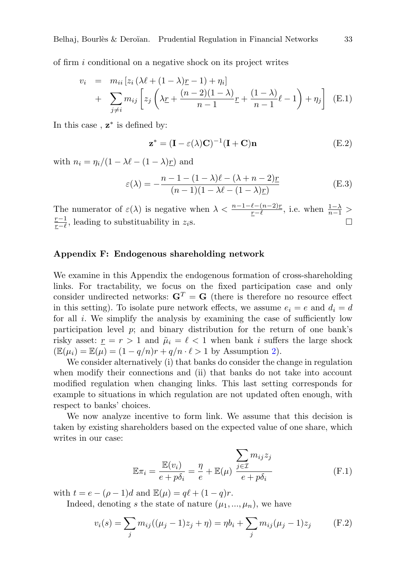of firm i conditional on a negative shock on its project writes

$$
v_i = m_{ii} [z_i (\lambda \ell + (1 - \lambda)\underline{r} - 1) + \eta_i]
$$
  
+ 
$$
\sum_{j \neq i} m_{ij} \left[ z_j \left( \lambda \underline{r} + \frac{(n-2)(1-\lambda)}{n-1} \underline{r} + \frac{(1-\lambda)}{n-1} \ell - 1 \right) + \eta_j \right]
$$
 (E.1)

In this case,  $z^*$  is defined by:

$$
\mathbf{z}^* = (\mathbf{I} - \varepsilon(\lambda)\mathbf{C})^{-1}(\mathbf{I} + \mathbf{C})\mathbf{n}
$$
 (E.2)

with  $n_i = \eta_i/(1 - \lambda \ell - (1 - \lambda)r)$  and

$$
\varepsilon(\lambda) = -\frac{n - 1 - (1 - \lambda)\ell - (\lambda + n - 2)\underline{r}}{(n - 1)(1 - \lambda\ell - (1 - \lambda)\underline{r})}
$$
(E.3)

The numerator of  $\varepsilon(\lambda)$  is negative when  $\lambda < \frac{n-1-\ell-(n-2)x}{r-\ell}$ , i.e. when  $\frac{1-\lambda}{n-1} >$  $r-1$  $\frac{r-1}{r-\ell}$ , leading to substituability in z<sub>i</sub>s.  $\Box$ 

# <span id="page-33-0"></span>Appendix F: Endogenous shareholding network

We examine in this Appendix the endogenous formation of cross-shareholding links. For tractability, we focus on the fixed participation case and only consider undirected networks:  $G<sup>T</sup> = G$  (there is therefore no resource effect in this setting). To isolate pure network effects, we assume  $e_i = e$  and  $d_i = d$ for all  $i$ . We simplify the analysis by examining the case of sufficiently low participation level  $p$ ; and binary distribution for the return of one bank's risky asset:  $r = r > 1$  and  $\tilde{\mu}_i = \ell < 1$  when bank i suffers the large shock  $(\mathbb{E}(\mu_i) = \mathbb{E}(\mu) = (1 - q/n)r + q/n \cdot \ell > 1$  by Assumption [2\)](#page-8-2).

We consider alternatively (i) that banks do consider the change in regulation when modify their connections and (ii) that banks do not take into account modified regulation when changing links. This last setting corresponds for example to situations in which regulation are not updated often enough, with respect to banks' choices.

We now analyze incentive to form link. We assume that this decision is taken by existing shareholders based on the expected value of one share, which writes in our case:

<span id="page-33-1"></span>
$$
\mathbb{E}\pi_i = \frac{\mathbb{E}(v_i)}{e + p\delta_i} = \frac{\eta}{e} + \mathbb{E}(\mu) \frac{\sum_{j \in \mathcal{I}} m_{ij} z_j}{e + p\delta_i}
$$
(F.1)

with  $t = e - (\rho - 1)d$  and  $\mathbb{E}(\mu) = q\ell + (1 - q)r$ .

Indeed, denoting s the state of nature  $(\mu_1, ..., \mu_n)$ , we have

$$
v_i(s) = \sum_j m_{ij}((\mu_j - 1)z_j + \eta) = \eta b_i + \sum_j m_{ij}(\mu_j - 1)z_j
$$
 (F.2)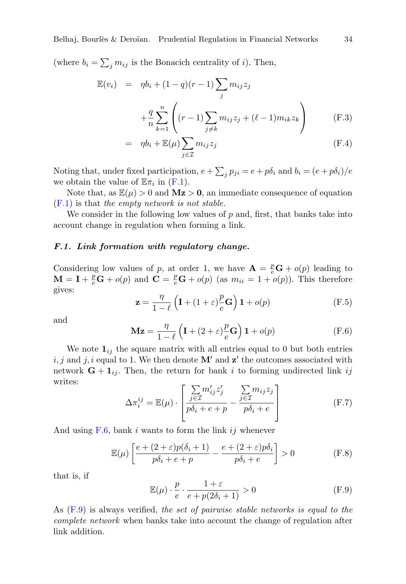(where  $b_i = \sum_j m_{ij}$  is the Bonacich centrality of *i*). Then,

$$
\mathbb{E}(v_i) = \eta b_i + (1 - q)(r - 1) \sum_j m_{ij} z_j
$$
  
+ 
$$
\frac{q}{n} \sum_{k=1}^n \left( (r - 1) \sum_{j \neq k} m_{ij} z_j + (\ell - 1) m_{ik} z_k \right)
$$
 (F.3)

$$
= \eta b_i + \mathbb{E}(\mu) \sum_{j \in \mathcal{I}} m_{ij} z_j \tag{F.4}
$$

Noting that, under fixed participation,  $e + \sum_j p_{ji} = e + p\delta_i$  and  $b_i = (e + p\delta_i)/e$ we obtain the value of  $\mathbb{E}\pi_i$  in  $(F.1)$ .

Note that, as  $\mathbb{E}(\mu) > 0$  and  $Mz > 0$ , an immediate consequence of equation  $(F.1)$  is that the empty network is not stable.

We consider in the following low values of  $p$  and, first, that banks take into account change in regulation when forming a link.

#### F.1. Link formation with regulatory change.

Considering low values of p, at order 1, we have  $\mathbf{A} = \frac{p}{e} \mathbf{G} + o(p)$  leading to  $\mathbf{M} = \mathbf{I} + \frac{p}{e}\mathbf{G} + o(p)$  and  $\mathbf{C} = \frac{p}{e}\mathbf{G} + o(p)$  (as  $m_{ii} = 1 + o(p)$ ). This therefore gives:

$$
\mathbf{z} = \frac{\eta}{1 - \ell} \left( \mathbf{I} + (1 + \varepsilon) \frac{p}{e} \mathbf{G} \right) \mathbf{1} + o(p) \tag{F.5}
$$

and

<span id="page-34-0"></span>
$$
\mathbf{Mz} = \frac{\eta}{1-\ell} \left( \mathbf{I} + (2+\varepsilon) \frac{p}{e} \mathbf{G} \right) \mathbf{1} + o(p) \tag{F.6}
$$

We note  $\mathbf{1}_{ij}$  the square matrix with all entries equal to 0 but both entries  $i, j$  and  $j, i$  equal to 1. We then denote  $\mathbf{M}'$  and  $\mathbf{z}'$  the outcomes associated with network  $G + 1_{ij}$ . Then, the return for bank i to forming undirected link ij writes:

$$
\Delta \pi_i^{ij} = \mathbb{E}(\mu) \cdot \left[ \frac{\sum_{j \in \mathcal{I}} m'_{ij} z'_j}{p \delta_i + e + p} - \frac{\sum_{j \in \mathcal{I}} m_{ij} z_j}{p \delta_i + e} \right]
$$
(F.7)

And using  $F.6$ , bank i wants to form the link ij whenever

$$
\mathbb{E}(\mu) \left[ \frac{e + (2 + \varepsilon)p(\delta_i + 1)}{p\delta_i + e + p} - \frac{e + (2 + \varepsilon)p\delta_i}{p\delta_i + e} \right] > 0 \tag{F.8}
$$

that is, if

<span id="page-34-1"></span>
$$
\mathbb{E}(\mu) \cdot \frac{p}{e} \cdot \frac{1+\varepsilon}{e+p(2\delta_i+1)} > 0 \tag{F.9}
$$

As [\(F.9\)](#page-34-1) is always verified, the set of pairwise stable networks is equal to the complete network when banks take into account the change of regulation after link addition.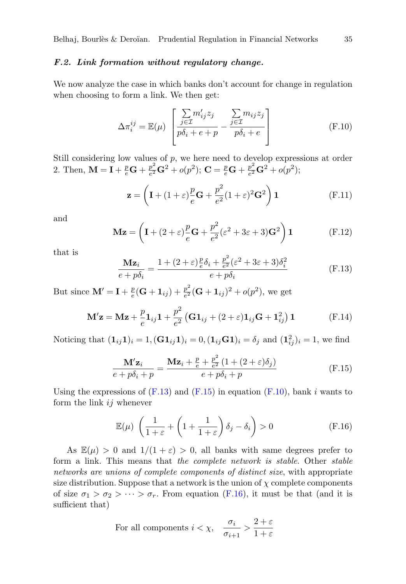#### F.2. Link formation without regulatory change.

We now analyze the case in which banks don't account for change in regulation when choosing to form a link. We then get:

<span id="page-35-2"></span>
$$
\Delta \pi_i^{ij} = \mathbb{E}(\mu) \left[ \frac{\sum_{j \in \mathcal{I}} m'_{ij} z_j}{p \delta_i + e + p} - \frac{\sum_{j \in \mathcal{I}} m_{ij} z_j}{p \delta_i + e} \right]
$$
(F.10)

Still considering low values of  $p$ , we here need to develop expressions at order 2. Then,  $\mathbf{M} = \mathbf{I} + \frac{p}{e} \mathbf{G} + \frac{p^2}{e^2}$  $\frac{p^2}{e^2}\mathbf{G}^2+o(p^2); \, \mathbf{C}=\frac{p}{e}\mathbf{G}+\frac{p^2}{e^2}$  $\frac{p^2}{e^2} \mathbf{G}^2 + o(p^2);$ 

$$
\mathbf{z} = \left(\mathbf{I} + (1+\varepsilon)\frac{p}{e}\mathbf{G} + \frac{p^2}{e^2}(1+\varepsilon)^2\mathbf{G}^2\right)\mathbf{1}
$$
 (F.11)

and

$$
\mathbf{Mz} = \left(\mathbf{I} + (2+\varepsilon)\frac{p}{e}\mathbf{G} + \frac{p^2}{e^2}(\varepsilon^2 + 3\varepsilon + 3)\mathbf{G}^2\right)\mathbf{1}
$$
 (F.12)

that is

<span id="page-35-0"></span>
$$
\frac{\mathbf{Mz}_i}{e + p\delta_i} = \frac{1 + (2 + \varepsilon)\frac{p}{e}\delta_i + \frac{p^2}{e^2}(\varepsilon^2 + 3\varepsilon + 3)\delta_i^2}{e + p\delta_i}
$$
(F.13)

But since  $\mathbf{M}' = \mathbf{I} + \frac{p}{e}$  $\frac{p}{e}(\mathbf{G}+\mathbf{1}_{ij})+\frac{p^2}{e^2}$  $\frac{p^2}{e^2}(\mathbf{G} + \mathbf{1}_{ij})^2 + o(p^2)$ , we get

$$
\mathbf{M'z} = \mathbf{Mz} + \frac{p}{e}\mathbf{1}_{ij}\mathbf{1} + \frac{p^2}{e^2} \left( \mathbf{G} \mathbf{1}_{ij} + (2+\varepsilon)\mathbf{1}_{ij}\mathbf{G} + \mathbf{1}_{ij}^2 \right) \mathbf{1}
$$
 (F.14)

Noticing that  $(1_{ij}1)_i = 1, (\mathbf{G}1_{ij}1)_i = 0, (1_{ij}\mathbf{G}1)_i = \delta_j$  and  $(1_{ij}^2)_i = 1$ , we find

<span id="page-35-1"></span>
$$
\frac{\mathbf{M'z}_i}{e + p\delta_i + p} = \frac{\mathbf{Mz}_i + \frac{p}{e} + \frac{p^2}{e^2} (1 + (2 + \varepsilon)\delta_j)}{e + p\delta_i + p}
$$
(F.15)

Using the expressions of  $(F.13)$  and  $(F.15)$  in equation  $(F.10)$ , bank i wants to form the link  $ij$  whenever

<span id="page-35-3"></span>
$$
\mathbb{E}(\mu) \left( \frac{1}{1+\varepsilon} + \left( 1 + \frac{1}{1+\varepsilon} \right) \delta_j - \delta_i \right) > 0 \tag{F.16}
$$

As  $\mathbb{E}(\mu) > 0$  and  $1/(1+\varepsilon) > 0$ , all banks with same degrees prefer to form a link. This means that the complete network is stable. Other stable networks are unions of complete components of distinct size, with appropriate size distribution. Suppose that a network is the union of  $\chi$  complete components of size  $\sigma_1 > \sigma_2 > \cdots > \sigma_r$ . From equation [\(F.16\)](#page-35-3), it must be that (and it is sufficient that)

For all components 
$$
i < \chi
$$
,  $\frac{\sigma_i}{\sigma_{i+1}} > \frac{2+\varepsilon}{1+\varepsilon}$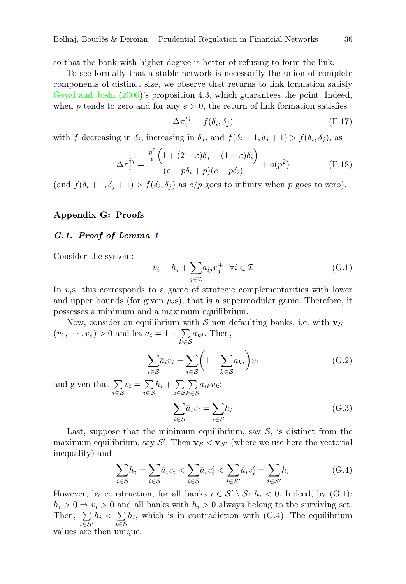so that the bank with higher degree is better of refusing to form the link.

To see formally that a stable network is necessarily the union of complete components of distinct size, we observe that returns to link formation satisfy [Goyal and Joshi](#page-42-18) [\(2006\)](#page-42-18)'s proposition 4.3, which guarantees the point. Indeed, when p tends to zero and for any  $e > 0$ , the return of link formation satisfies

$$
\Delta \pi_i^{ij} = f(\delta_i, \delta_j) \tag{F.17}
$$

with f decreasing in  $\delta_i$ , increasing in  $\delta_j$ , and  $f(\delta_i + 1, \delta_j + 1) > f(\delta_i, \delta_j)$ , as

$$
\Delta \pi_i^{ij} = \frac{\frac{p^2}{e} \left( 1 + (2 + \varepsilon)\delta_j - (1 + \varepsilon)\delta_i \right)}{(e + p\delta_i + p)(e + p\delta_i)} + o(p^2)
$$
 (F.18)

 $(\text{and } f(\delta_i + 1, \delta_j + 1) > f(\delta_i, \delta_j) \text{ as } e/p \text{ goes to infinity when } p \text{ goes to zero}).$ 

# Appendix G: Proofs

#### <span id="page-36-0"></span>G.1. Proof of Lemma [1](#page-7-2)

Consider the system:

<span id="page-36-1"></span>
$$
v_i = h_i + \sum_{j \in \mathcal{I}} a_{ij} v_j^+ \quad \forall i \in \mathcal{I}
$$
 (G.1)

In  $v_i$ s, this corresponds to a game of strategic complementarities with lower and upper bounds (for given  $\mu_i$ s), that is a supermodular game. Therefore, it possesses a minimum and a maximum equilibrium.

Now, consider an equilibrium with S non defaulting banks, i.e. with  $\mathbf{v}_{\mathcal{S}} =$  $(v_1, \dots, v_s) > 0$  and let  $\bar{a}_i = 1 - \sum$  $\sum_{k\in\mathcal{S}} a_{ki}$ . Then,

$$
\sum_{i \in S} \bar{a}_i v_i = \sum_{i \in S} \left( 1 - \sum_{k \in S} a_{ki} \right) v_i \tag{G.2}
$$

and given that  $\Sigma$  $\sum_{i \in \mathcal{S}} v_i = \sum_{i \in \mathcal{S}}$  $\sum_{i \in \mathcal{S}} h_i + \sum_{i \in \mathcal{S}}$ i∈S  $\sum$  $\sum_{k\in\mathcal{S}} a_{ik}v_k$ :

$$
\sum_{i \in S} \bar{a}_i v_i = \sum_{i \in S} h_i \tag{G.3}
$$

Last, suppose that the minimum equilibrium, say  $S$ , is distinct from the maximum equilibrium, say  $S'$ . Then  $\mathbf{v}_{\mathcal{S}} < \mathbf{v}_{\mathcal{S}'}$  (where we use here the vectorial inequality) and

<span id="page-36-2"></span>
$$
\sum_{i \in S} h_i = \sum_{i \in S} \bar{a}_i v_i < \sum_{i \in S} \bar{a}_i v'_i < \sum_{i \in S'} \bar{a}_i v'_i = \sum_{i \in S'} h_i \tag{G.4}
$$

However, by construction, for all banks  $i \in S' \setminus S: h_i < 0$ . Indeed, by [\(G.1\)](#page-36-1):  $h_i > 0 \Rightarrow v_i > 0$  and all banks with  $h_i > 0$  always belong to the surviving set. Then,  $\Sigma$  $\sum_{i \in \mathcal{S}'} h_i < \sum_{i \in \mathcal{S}}$  $\sum_{i\in\mathcal{S}}h_i$ , which is in contradiction with [\(G.4\)](#page-36-2). The equilibrium values are then unique.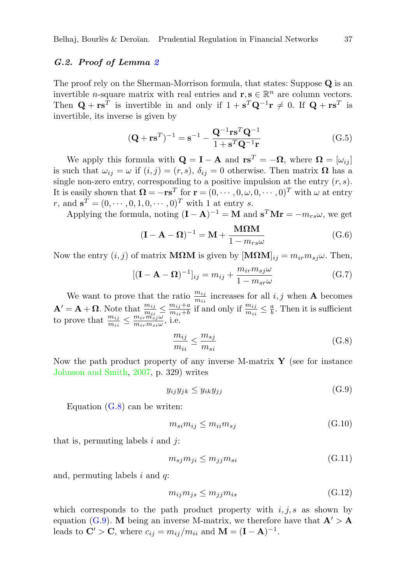# <span id="page-37-0"></span>G.2. Proof of Lemma [2](#page-13-0)

The proof rely on the Sherman-Morrison formula, that states: Suppose Q is an invertible *n*-square matrix with real entries and  $\mathbf{r}, \mathbf{s} \in \mathbb{R}^n$  are column vectors. Then  $\mathbf{Q} + \mathbf{r} \mathbf{s}^T$  is invertible in and only if  $1 + \mathbf{s}^T \mathbf{Q}^{-1} \mathbf{r} \neq 0$ . If  $\mathbf{Q} + \mathbf{r} \mathbf{s}^T$  is invertible, its inverse is given by

$$
(\mathbf{Q} + \mathbf{r}\mathbf{s}^T)^{-1} = \mathbf{s}^{-1} - \frac{\mathbf{Q}^{-1}\mathbf{r}\mathbf{s}^T\mathbf{Q}^{-1}}{1 + \mathbf{s}^T\mathbf{Q}^{-1}\mathbf{r}} \tag{G.5}
$$

We apply this formula with  $\mathbf{Q} = \mathbf{I} - \mathbf{A}$  and  $\mathbf{r}\mathbf{s}^T = -\mathbf{\Omega}$ , where  $\mathbf{\Omega} = [\omega_{ij}]$ is such that  $\omega_{ij} = \omega$  if  $(i, j) = (r, s)$ ,  $\delta_{ij} = 0$  otherwise. Then matrix  $\Omega$  has a single non-zero entry, corresponding to a positive impulsion at the entry  $(r, s)$ . It is easily shown that  $\mathbf{\Omega} = -\mathbf{r} \mathbf{s}^T$  for  $\mathbf{r} = (0, \cdots, 0, \omega, 0, \cdots, 0)^T$  with  $\omega$  at entry r, and  $\mathbf{s}^T = (0, \dots, 0, 1, 0, \dots, 0)^T$  with 1 at entry s.

Applying the formula, noting  $(I - A)^{-1} = M$  and  $s^T M r = -m_{rs}\omega$ , we get

$$
(\mathbf{I} - \mathbf{A} - \mathbf{\Omega})^{-1} = \mathbf{M} + \frac{\mathbf{M}\mathbf{\Omega}\mathbf{M}}{1 - m_{rs}\omega}
$$
(G.6)

Now the entry  $(i, j)$  of matrix **MΩM** is given by  $[\mathbf{M}\Omega \mathbf{M}]_{ij} = m_{ir} m_{sj} \omega$ . Then,

$$
[(\mathbf{I} - \mathbf{A} - \mathbf{\Omega})^{-1}]_{ij} = m_{ij} + \frac{m_{ir} m_{sj}\omega}{1 - m_{sr}\omega}
$$
(G.7)

We want to prove that the ratio  $\frac{m_{ij}}{m_{ii}}$  increases for all  $i, j$  when **A** becomes  $\mathbf{A}' = \mathbf{A} + \mathbf{\Omega}$ . Note that  $\frac{m_{ij}}{m_{ii}} \leq \frac{m_{ij} + a}{m_{ii} + b}$  $\frac{m_{ij}+a}{m_{ii}+b}$  if and only if  $\frac{m_{ij}}{m_{ii}} \leq \frac{a}{b}$ . Then it is sufficient to prove that  $\frac{m_{ij}}{m_{ii}} \leq \frac{m_{ir} m_{sj}\omega}{m_{ir} m_{si}\omega}$  $\frac{m_{ir}m_{sj}\omega}{m_{ir}m_{si}\omega}$ , i.e.

<span id="page-37-1"></span>
$$
\frac{m_{ij}}{m_{ii}} \le \frac{m_{sj}}{m_{si}}\tag{G.8}
$$

Now the path product property of any inverse M-matrix  $\mathbf Y$  (see for instance [Johnson and Smith,](#page-43-3) [2007,](#page-43-3) p. 329) writes

<span id="page-37-2"></span>
$$
y_{ij}y_{jk} \le y_{ik}y_{jj} \tag{G.9}
$$

Equation  $(G.8)$  can be writen:

$$
m_{si}m_{ij} \le m_{ii}m_{sj} \tag{G.10}
$$

that is, permuting labels  $i$  and  $j$ :

$$
m_{sj}m_{ji} \le m_{jj}m_{si} \tag{G.11}
$$

and, permuting labels  $i$  and  $q$ :

$$
m_{ij}m_{js} \le m_{jj}m_{is} \tag{G.12}
$$

which corresponds to the path product property with  $i, j, s$  as shown by equation [\(G.9\)](#page-37-2). M being an inverse M-matrix, we therefore have that  $A' > A$ leads to  $\mathbf{C}' > \mathbf{C}$ , where  $c_{ij} = m_{ij}/m_{ii}$  and  $\mathbf{M} = (\mathbf{I} - \mathbf{A})^{-1}$ .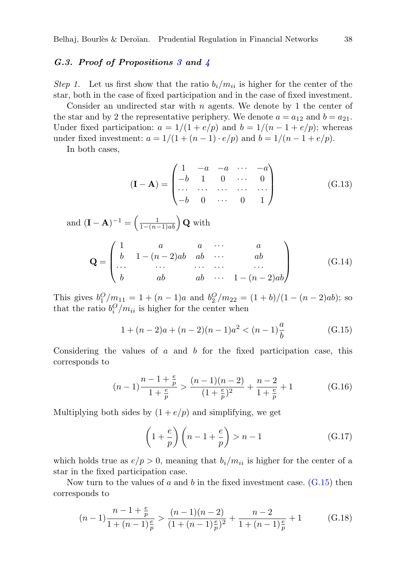#### <span id="page-38-0"></span>G.[3](#page-17-1). Proof of Propositions 3 and  $\frac{1}{4}$  $\frac{1}{4}$  $\frac{1}{4}$

Step 1. Let us first show that the ratio  $b_i/m_{ii}$  is higher for the center of the star, both in the case of fixed participation and in the case of fixed investment.

Consider an undirected star with  $n$  agents. We denote by 1 the center of the star and by 2 the representative periphery. We denote  $a = a_{12}$  and  $b = a_{21}$ . Under fixed participation:  $a = 1/(1 + e/p)$  and  $b = 1/(n - 1 + e/p)$ ; whereas under fixed investment:  $a = 1/(1 + (n-1) \cdot e/p)$  and  $b = 1/(n-1 + e/p)$ .

In both cases,

$$
(\mathbf{I} - \mathbf{A}) = \begin{pmatrix} 1 & -a & -a & \cdots & -a \\ -b & 1 & 0 & \cdots & 0 \\ \cdots & \cdots & \cdots & \cdots & \cdots \\ -b & 0 & \cdots & 0 & 1 \end{pmatrix}
$$
(G.13)

and  $(\mathbf{I} - \mathbf{A})^{-1} = \left(\frac{1}{1 - (n-1)a b}\right) \mathbf{Q}$  with

$$
\mathbf{Q} = \begin{pmatrix} 1 & a & a & \cdots & a \\ b & 1 - (n-2)ab & ab & \cdots & ab \\ \cdots & \cdots & \cdots & \cdots & \cdots \\ b & ab & ab & \cdots & 1 - (n-2)ab \end{pmatrix}
$$
 (G.14)

This gives  $b_1^O/m_{11} = 1 + (n-1)a$  and  $b_2^O/m_{22} = (1+b)/(1-(n-2)ab)$ ; so that the ratio  $b_i^O/m_{ii}$  is higher for the center when

<span id="page-38-1"></span>
$$
1 + (n-2)a + (n-2)(n-1)a^{2} < (n-1)\frac{a}{b}
$$
 (G.15)

Considering the values of  $a$  and  $b$  for the fixed participation case, this corresponds to

$$
(n-1)\frac{n-1+\frac{e}{p}}{1+\frac{e}{p}} > \frac{(n-1)(n-2)}{(1+\frac{e}{p})^2} + \frac{n-2}{1+\frac{e}{p}} + 1
$$
 (G.16)

Multiplying both sides by  $(1 + e/p)$  and simplifying, we get

$$
\left(1 + \frac{e}{p}\right)\left(n - 1 + \frac{e}{p}\right) > n - 1\tag{G.17}
$$

which holds true as  $e/p > 0$ , meaning that  $b_i/m_{ii}$  is higher for the center of a star in the fixed participation case.

Now turn to the values of a and b in the fixed investment case.  $(G.15)$  then corresponds to

$$
(n-1)\frac{n-1+\frac{e}{p}}{1+(n-1)\frac{e}{p}} > \frac{(n-1)(n-2)}{(1+(n-1)\frac{e}{p})^2} + \frac{n-2}{1+(n-1)\frac{e}{p}} + 1
$$
 (G.18)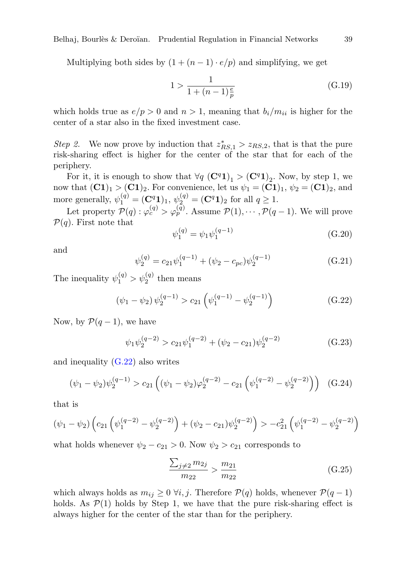Belhaj, Bourlès & Deroïan. Prudential Regulation in Financial Networks  $39$ 

Multiplying both sides by  $(1 + (n - 1) \cdot e/p)$  and simplifying, we get

$$
1 > \frac{1}{1 + (n - 1)\frac{e}{p}}
$$
 (G.19)

which holds true as  $e/p > 0$  and  $n > 1$ , meaning that  $b_i/m_{ii}$  is higher for the center of a star also in the fixed investment case.

Step 2. We now prove by induction that  $z_{RS,1}^* > z_{RS,2}$ , that is that the pure risk-sharing effect is higher for the center of the star that for each of the periphery.

For it, it is enough to show that  $\forall q \ (\mathbf{C}^q \mathbf{1})_1 > (\mathbf{C}^q \mathbf{1})_2$ . Now, by step 1, we now that  $(\mathbf{C1})_1 > (\mathbf{C1})_2$ . For convenience, let us  $\psi_1 = (\mathbf{C1})_1$ ,  $\psi_2 = (\mathbf{C1})_2$ , and more generally,  $\psi_1^{(q)} = (\mathbf{C}^q \mathbf{1})_1, \, \psi_2^{(q)} = (\mathbf{C}^q \mathbf{1})_2$  for all  $q \ge 1$ .

Let property  $\mathcal{P}(q) : \varphi_c^{(q)} > \varphi_p^{(q)}$ . Assume  $\mathcal{P}(1), \cdots, \mathcal{P}(q-1)$ . We will prove  $\mathcal{P}(q)$ . First note that

$$
\psi_1^{(q)} = \psi_1 \psi_1^{(q-1)} \tag{G.20}
$$

and

$$
\psi_2^{(q)} = c_{21}\psi_1^{(q-1)} + (\psi_2 - c_{pc})\psi_2^{(q-1)}
$$
\n(G.21)

The inequality  $\psi_1^{(q)} > \psi_2^{(q)}$  then means

<span id="page-39-0"></span>
$$
(\psi_1 - \psi_2) \psi_2^{(q-1)} > c_{21} \left( \psi_1^{(q-1)} - \psi_2^{(q-1)} \right)
$$
 (G.22)

Now, by  $\mathcal{P}(q-1)$ , we have

$$
\psi_1 \psi_2^{(q-2)} > c_{21} \psi_1^{(q-2)} + (\psi_2 - c_{21}) \psi_2^{(q-2)} \tag{G.23}
$$

and inequality [\(G.22\)](#page-39-0) also writes

$$
(\psi_1 - \psi_2)\psi_2^{(q-1)} > c_{21}\left((\psi_1 - \psi_2)\varphi_2^{(q-2)} - c_{21}\left(\psi_1^{(q-2)} - \psi_2^{(q-2)}\right)\right) \quad (G.24)
$$

that is

$$
(\psi_1 - \psi_2) \left( c_{21} \left( \psi_1^{(q-2)} - \psi_2^{(q-2)} \right) + (\psi_2 - c_{21}) \psi_2^{(q-2)} \right) > -c_{21}^2 \left( \psi_1^{(q-2)} - \psi_2^{(q-2)} \right)
$$

what holds whenever  $\psi_2 - c_{21} > 0$ . Now  $\psi_2 > c_{21}$  corresponds to

$$
\frac{\sum_{j\neq 2} m_{2j}}{m_{22}} > \frac{m_{21}}{m_{22}} \tag{G.25}
$$

which always holds as  $m_{ij} \geq 0 \ \forall i, j$ . Therefore  $\mathcal{P}(q)$  holds, whenever  $\mathcal{P}(q-1)$ holds. As  $\mathcal{P}(1)$  holds by Step 1, we have that the pure risk-sharing effect is always higher for the center of the star than for the periphery.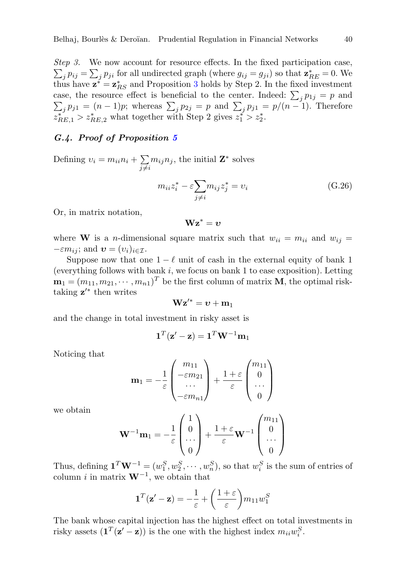$\sum_j p_{ij} = \sum_j p_{ji}$  for all undirected graph (where  $g_{ij} = g_{ji}$ ) so that  $\mathbf{z}_{RE}^* = 0$ . We Step 3. We now account for resource effects. In the fixed participation case, thus have  $\mathbf{z}^* = \mathbf{z}_{RS}^*$  and Proposition [3](#page-17-1) holds by Step 2. In the fixed investment case, the resource effect is beneficial to the center. Indeed:  $\sum_j p_{1j} = p$  and  $\sum_j p_{j1} = (n-1)p$ ; whereas  $\sum_j p_{2j} = p$  and  $\sum_j p_{j1} = p/(n-1)$ . Therefore  $z_{RE,1}^* > z_{RE,2}^*$  what together with Step 2 gives  $z_1^* > z_2^*$ .

# <span id="page-40-0"></span>G.4. Proof of Proposition [5](#page-22-2)

Defining  $v_i = m_{ii}n_i + \sum$  $\sum_{j\neq i} m_{ij} n_j$ , the initial  $\mathbf{Z}^*$  solves

$$
m_{ii}z_i^* - \varepsilon \sum_{j \neq i} m_{ij}z_j^* = v_i
$$
 (G.26)

Or, in matrix notation,

 $\mathbf{Wz}^* = \boldsymbol{v}$ 

where **W** is a *n*-dimensional square matrix such that  $w_{ii} = m_{ii}$  and  $w_{ij} =$  $-\varepsilon m_{ij}$ ; and  $\boldsymbol{v} = (v_i)_{i \in \mathcal{I}}$ .

Suppose now that one  $1 - \ell$  unit of cash in the external equity of bank 1 (everything follows with bank  $i$ , we focus on bank 1 to ease exposition). Letting  $\mathbf{m}_1 = (m_{11}, m_{21}, \cdots, m_{n1})^T$  be the first column of matrix **M**, the optimal risktaking  $z'^*$  then writes

$$
\mathbf{W}\mathbf{z}'^* = \boldsymbol{v} + \mathbf{m}_1
$$

and the change in total investment in risky asset is

$$
\mathbf{1}^T(\mathbf{z}' - \mathbf{z}) = \mathbf{1}^T \mathbf{W}^{-1} \mathbf{m}_1
$$

Noticing that

$$
\mathbf{m}_1 = -\frac{1}{\varepsilon} \begin{pmatrix} m_{11} \\ -\varepsilon m_{21} \\ \cdots \\ -\varepsilon m_{n1} \end{pmatrix} + \frac{1+\varepsilon}{\varepsilon} \begin{pmatrix} m_{11} \\ 0 \\ \cdots \\ 0 \end{pmatrix}
$$

we obtain

$$
\mathbf{W}^{-1}\mathbf{m}_1 = -\frac{1}{\varepsilon} \begin{pmatrix} 1 \\ 0 \\ \cdots \\ 0 \end{pmatrix} + \frac{1+\varepsilon}{\varepsilon} \mathbf{W}^{-1} \begin{pmatrix} m_{11} \\ 0 \\ \cdots \\ 0 \end{pmatrix}
$$

Thus, defining  $\mathbf{1}^T \mathbf{W}^{-1} = (w_1^S, w_2^S, \cdots, w_n^S)$ , so that  $w_i^S$  is the sum of entries of column *i* in matrix  $W^{-1}$ , we obtain that

$$
\mathbf{1}^T(\mathbf{z}' - \mathbf{z}) = -\frac{1}{\varepsilon} + \left(\frac{1+\varepsilon}{\varepsilon}\right) m_{11} w_1^S
$$

The bank whose capital injection has the highest effect on total investments in risky assets  $(\mathbf{1}^T(\mathbf{z}' - \mathbf{z}))$  is the one with the highest index  $m_{ii}w_i^S$ .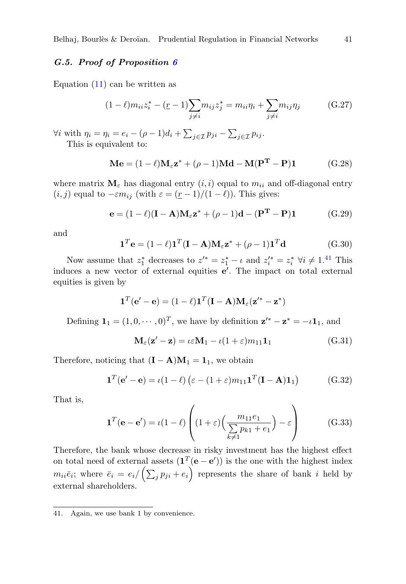# <span id="page-41-1"></span>G.5. Proof of Proposition [6](#page-23-1)

Equation  $(11)$  can be written as

$$
(1 - \ell)m_{ii}z_i^* - (\underline{r} - 1)\sum_{j \neq i} m_{ij}z_j^* = m_{ii}\eta_i + \sum_{j \neq i} m_{ij}\eta_j \tag{G.27}
$$

 $\forall i$  with  $\eta_i = \eta_i = e_i - (\rho - 1)d_i + \sum_{j \in \mathcal{I}} p_{ji} - \sum_{j \in \mathcal{I}} p_{ij}$ . This is equivalent to:

$$
\mathbf{M}\mathbf{e} = (1 - \ell)\mathbf{M}_{\varepsilon}\mathbf{z}^* + (\rho - 1)\mathbf{M}\mathbf{d} - \mathbf{M}(\mathbf{P}^{\mathbf{T}} - \mathbf{P})\mathbf{1}
$$
 (G.28)

where matrix  $\mathbf{M}_{\varepsilon}$  has diagonal entry  $(i, i)$  equal to  $m_{ii}$  and off-diagonal entry  $(i, j)$  equal to  $-\varepsilon m_{ij}$  (with  $\varepsilon = \frac{(r-1)}{(1-\ell)}$ ). This gives:

<span id="page-41-0"></span>
$$
\mathbf{e} = (1 - \ell)(\mathbf{I} - \mathbf{A})\mathbf{M}_{\varepsilon}\mathbf{z}^* + (\rho - 1)\mathbf{d} - (\mathbf{P}^{\mathbf{T}} - \mathbf{P})\mathbf{1}
$$
(G.29)

and

$$
\mathbf{1}^T \mathbf{e} = (1 - \ell) \mathbf{1}^T (\mathbf{I} - \mathbf{A}) \mathbf{M}_{\varepsilon} \mathbf{z}^* + (\rho - 1) \mathbf{1}^T \mathbf{d}
$$
(G.30)

Now assume that  $z_1^*$  decreases to  $z'^* = z_1^* - \iota$  and  $z_i'^* = z_i^* \; \forall i \neq 1.41$  $z_i'^* = z_i^* \; \forall i \neq 1.41$  This induces a new vector of external equities  $e'$ . The impact on total external equities is given by

$$
\mathbf{1}^T(\mathbf{e}' - \mathbf{e}) = (1 - \ell)\mathbf{1}^T(\mathbf{I} - \mathbf{A})\mathbf{M}_{\varepsilon}(\mathbf{z}'^* - \mathbf{z}^*)
$$

Defining  $\mathbf{1}_1 = (1, 0, \dots, 0)^T$ , we have by definition  $\mathbf{z}'^* - \mathbf{z}^* = -\iota \mathbf{1}_1$ , and

$$
\mathbf{M}_{\varepsilon}(\mathbf{z}' - \mathbf{z}) = \iota \varepsilon \mathbf{M}_1 - \iota (1 + \varepsilon) m_{11} \mathbf{1}_1
$$
\n(G.31)

Therefore, noticing that  $(I - A)M_1 = 1$ , we obtain

$$
\mathbf{1}^T(\mathbf{e}' - \mathbf{e}) = \iota(1 - \ell) \left( \varepsilon - (1 + \varepsilon) m_{11} \mathbf{1}^T (\mathbf{I} - \mathbf{A}) \mathbf{1}_1 \right) \tag{G.32}
$$

That is,

$$
\mathbf{1}^T(\mathbf{e} - \mathbf{e}') = \iota(1 - \ell) \left( (1 + \varepsilon) \left( \frac{m_{11}e_1}{\sum_{k \neq 1} p_{k1} + e_1} \right) - \varepsilon \right) \tag{G.33}
$$

Therefore, the bank whose decrease in risky investment has the highest effect on total need of external assets  $(\mathbf{1}^T(\mathbf{e} - \mathbf{e}'))$  is the one with the highest index  $m_{ii}\bar{e}_i$ ; where  $\bar{e}_i = e_i / (\sum_j p_{ji} + e_i)$  represents the share of bank i held by external shareholders.

<span id="page-41-2"></span><sup>41.</sup> Again, we use bank 1 by convenience.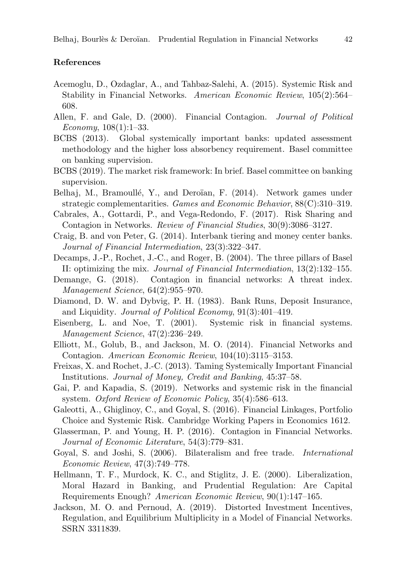# References

- <span id="page-42-5"></span>Acemoglu, D., Ozdaglar, A., and Tahbaz-Salehi, A. (2015). Systemic Risk and Stability in Financial Networks. American Economic Review, 105(2):564– 608.
- <span id="page-42-4"></span>Allen, F. and Gale, D. (2000). Financial Contagion. Journal of Political Economy, 108(1):1–33.
- <span id="page-42-1"></span>BCBS (2013). Global systemically important banks: updated assessment methodology and the higher loss absorbency requirement. Basel committee on banking supervision.
- <span id="page-42-15"></span>BCBS (2019). The market risk framework: In brief. Basel committee on banking supervision.
- <span id="page-42-16"></span>Belhaj, M., Bramoullé, Y., and Deroïan, F. (2014). Network games under strategic complementarities. Games and Economic Behavior, 88(C):310–319.
- <span id="page-42-6"></span>Cabrales, A., Gottardi, P., and Vega-Redondo, F. (2017). Risk Sharing and Contagion in Networks. Review of Financial Studies, 30(9):3086–3127.
- <span id="page-42-17"></span>Craig, B. and von Peter, G. (2014). Interbank tiering and money center banks. Journal of Financial Intermediation, 23(3):322–347.
- <span id="page-42-9"></span>Decamps, J.-P., Rochet, J.-C., and Roger, B. (2004). The three pillars of Basel II: optimizing the mix. Journal of Financial Intermediation, 13(2):132–155.
- <span id="page-42-13"></span>Demange, G. (2018). Contagion in financial networks: A threat index. Management Science, 64(2):955–970.
- <span id="page-42-3"></span>Diamond, D. W. and Dybvig, P. H. (1983). Bank Runs, Deposit Insurance, and Liquidity. Journal of Political Economy, 91(3):401–419.
- <span id="page-42-14"></span>Eisenberg, L. and Noe, T. (2001). Systemic risk in financial systems. Management Science, 47(2):236–249.
- <span id="page-42-7"></span>Elliott, M., Golub, B., and Jackson, M. O. (2014). Financial Networks and Contagion. American Economic Review, 104(10):3115–3153.
- <span id="page-42-10"></span>Freixas, X. and Rochet, J.-C. (2013). Taming Systemically Important Financial Institutions. Journal of Money, Credit and Banking, 45:37–58.
- <span id="page-42-2"></span>Gai, P. and Kapadia, S. (2019). Networks and systemic risk in the financial system. Oxford Review of Economic Policy, 35(4):586–613.
- <span id="page-42-11"></span>Galeotti, A., Ghiglinoy, C., and Goyal, S. (2016). Financial Linkages, Portfolio Choice and Systemic Risk. Cambridge Working Papers in Economics 1612.
- <span id="page-42-0"></span>Glasserman, P. and Young, H. P. (2016). Contagion in Financial Networks. Journal of Economic Literature, 54(3):779–831.
- <span id="page-42-18"></span>Goyal, S. and Joshi, S. (2006). Bilateralism and free trade. International Economic Review, 47(3):749–778.
- <span id="page-42-8"></span>Hellmann, T. F., Murdock, K. C., and Stiglitz, J. E. (2000). Liberalization, Moral Hazard in Banking, and Prudential Regulation: Are Capital Requirements Enough? American Economic Review, 90(1):147–165.
- <span id="page-42-12"></span>Jackson, M. O. and Pernoud, A. (2019). Distorted Investment Incentives, Regulation, and Equilibrium Multiplicity in a Model of Financial Networks. SSRN 3311839.